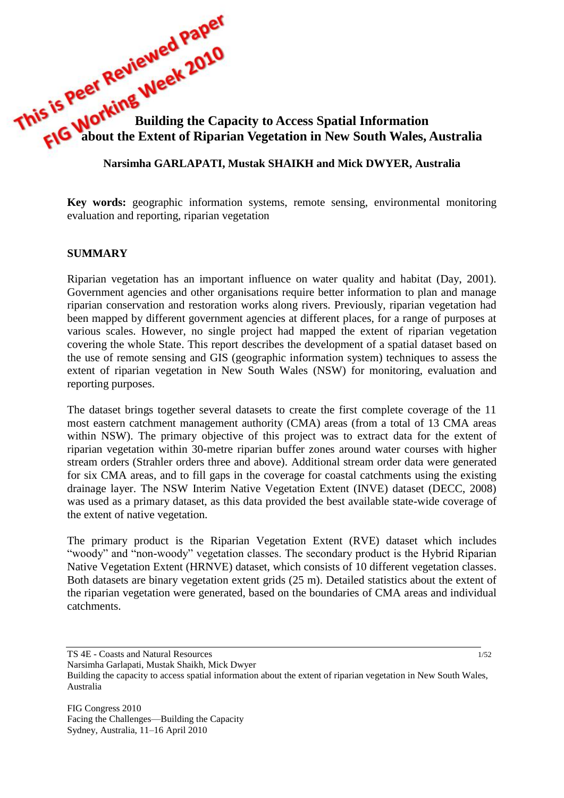**This is Peer This Week 2014**<br>**Building the Capacity to Access Spatial Information**  $\mathbf{B}$  **Peer Capacity to Access Spatial Information**  $\mathbf{B}$ **about the Extent of Riparian Vegetation in New South Wales, Australia**

### **Narsimha GARLAPATI, Mustak SHAIKH and Mick DWYER, Australia**

**Key words:** geographic information systems, remote sensing, environmental monitoring evaluation and reporting, riparian vegetation

### **SUMMARY**

Riparian vegetation has an important influence on water quality and habitat (Day, 2001). Government agencies and other organisations require better information to plan and manage riparian conservation and restoration works along rivers. Previously, riparian vegetation had been mapped by different government agencies at different places, for a range of purposes at various scales. However, no single project had mapped the extent of riparian vegetation covering the whole State. This report describes the development of a spatial dataset based on the use of remote sensing and GIS (geographic information system) techniques to assess the extent of riparian vegetation in New South Wales (NSW) for monitoring, evaluation and reporting purposes.

The dataset brings together several datasets to create the first complete coverage of the 11 most eastern catchment management authority (CMA) areas (from a total of 13 CMA areas within NSW). The primary objective of this project was to extract data for the extent of riparian vegetation within 30-metre riparian buffer zones around water courses with higher stream orders (Strahler orders three and above). Additional stream order data were generated for six CMA areas, and to fill gaps in the coverage for coastal catchments using the existing drainage layer. The NSW Interim Native Vegetation Extent (INVE) dataset (DECC, 2008) was used as a primary dataset, as this data provided the best available state-wide coverage of the extent of native vegetation.

The primary product is the Riparian Vegetation Extent (RVE) dataset which includes "woody" and "non-woody" vegetation classes. The secondary product is the Hybrid Riparian Native Vegetation Extent (HRNVE) dataset, which consists of 10 different vegetation classes. Both datasets are binary vegetation extent grids (25 m). Detailed statistics about the extent of the riparian vegetation were generated, based on the boundaries of CMA areas and individual catchments.

Narsimha Garlapati, Mustak Shaikh, Mick Dwyer Building the capacity to access spatial information about the extent of riparian vegetation in New South Wales, Australia

TS 4E - Coasts and Natural Resources 1/52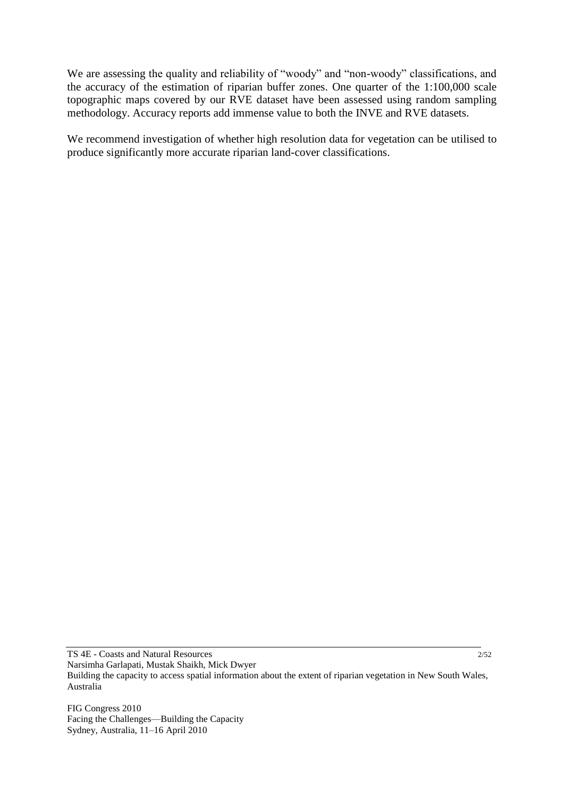We are assessing the quality and reliability of "woody" and "non-woody" classifications, and the accuracy of the estimation of riparian buffer zones. One quarter of the 1:100,000 scale topographic maps covered by our RVE dataset have been assessed using random sampling methodology. Accuracy reports add immense value to both the INVE and RVE datasets.

We recommend investigation of whether high resolution data for vegetation can be utilised to produce significantly more accurate riparian land-cover classifications.

TS 4E - Coasts and Natural Resources 2/52 Narsimha Garlapati, Mustak Shaikh, Mick Dwyer Building the capacity to access spatial information about the extent of riparian vegetation in New South Wales, Australia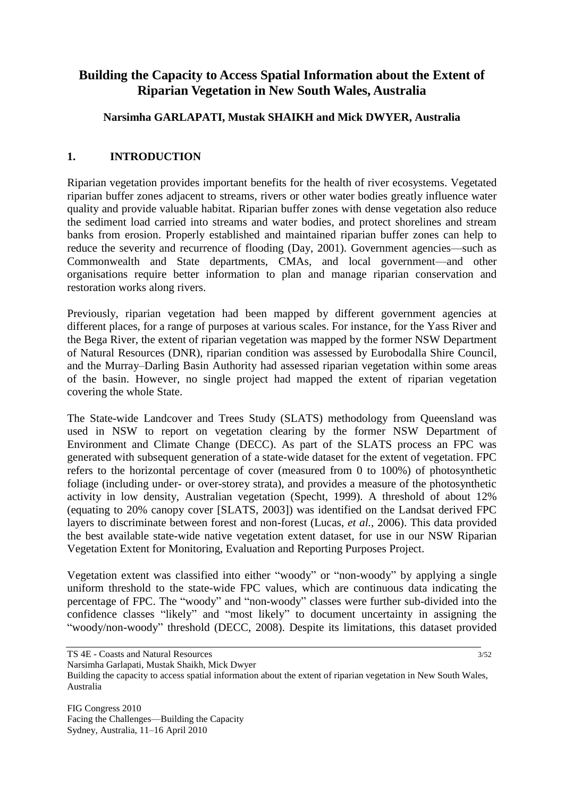# **Building the Capacity to Access Spatial Information about the Extent of Riparian Vegetation in New South Wales, Australia**

# **Narsimha GARLAPATI, Mustak SHAIKH and Mick DWYER, Australia**

# **1. INTRODUCTION**

Riparian vegetation provides important benefits for the health of river ecosystems. Vegetated riparian buffer zones adjacent to streams, rivers or other water bodies greatly influence water quality and provide valuable habitat. Riparian buffer zones with dense vegetation also reduce the sediment load carried into streams and water bodies, and protect shorelines and stream banks from erosion. Properly established and maintained riparian buffer zones can help to reduce the severity and recurrence of flooding (Day, 2001). Government agencies—such as Commonwealth and State departments, CMAs, and local government—and other organisations require better information to plan and manage riparian conservation and restoration works along rivers.

Previously, riparian vegetation had been mapped by different government agencies at different places, for a range of purposes at various scales. For instance, for the Yass River and the Bega River, the extent of riparian vegetation was mapped by the former NSW Department of Natural Resources (DNR), riparian condition was assessed by Eurobodalla Shire Council, and the Murray–Darling Basin Authority had assessed riparian vegetation within some areas of the basin. However, no single project had mapped the extent of riparian vegetation covering the whole State.

The State-wide Landcover and Trees Study (SLATS) methodology from Queensland was used in NSW to report on vegetation clearing by the former NSW Department of Environment and Climate Change (DECC). As part of the SLATS process an FPC was generated with subsequent generation of a state-wide dataset for the extent of vegetation. FPC refers to the horizontal percentage of cover (measured from 0 to 100%) of photosynthetic foliage (including under- or over-storey strata), and provides a measure of the photosynthetic activity in low density, Australian vegetation (Specht, 1999). A threshold of about 12% (equating to 20% canopy cover [SLATS, 2003]) was identified on the Landsat derived FPC layers to discriminate between forest and non-forest (Lucas, *et al.*, 2006). This data provided the best available state-wide native vegetation extent dataset, for use in our NSW Riparian Vegetation Extent for Monitoring, Evaluation and Reporting Purposes Project.

Vegetation extent was classified into either "woody" or "non-woody" by applying a single uniform threshold to the state-wide FPC values, which are continuous data indicating the percentage of FPC. The "woody" and "non-woody" classes were further sub-divided into the confidence classes "likely" and "most likely" to document uncertainty in assigning the ―woody/non-woody‖ threshold (DECC, 2008). Despite its limitations, this dataset provided

Narsimha Garlapati, Mustak Shaikh, Mick Dwyer Building the capacity to access spatial information about the extent of riparian vegetation in New South Wales, Australia

TS 4E - Coasts and Natural Resources 3/52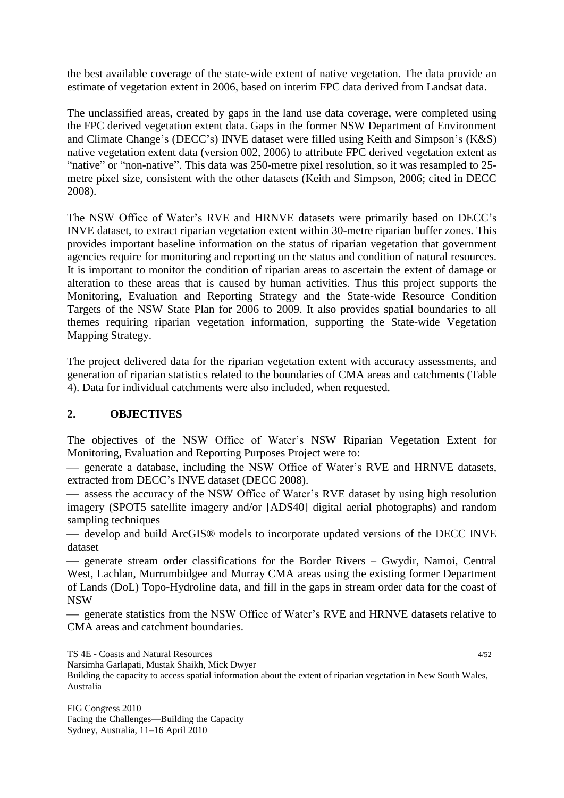the best available coverage of the state-wide extent of native vegetation. The data provide an estimate of vegetation extent in 2006, based on interim FPC data derived from Landsat data.

The unclassified areas, created by gaps in the land use data coverage, were completed using the FPC derived vegetation extent data. Gaps in the former NSW Department of Environment and Climate Change's (DECC's) INVE dataset were filled using Keith and Simpson's (K&S) native vegetation extent data (version 002, 2006) to attribute FPC derived vegetation extent as "native" or "non-native". This data was 250-metre pixel resolution, so it was resampled to 25metre pixel size, consistent with the other datasets (Keith and Simpson, 2006; cited in DECC 2008).

The NSW Office of Water's RVE and HRNVE datasets were primarily based on DECC's INVE dataset, to extract riparian vegetation extent within 30-metre riparian buffer zones. This provides important baseline information on the status of riparian vegetation that government agencies require for monitoring and reporting on the status and condition of natural resources. It is important to monitor the condition of riparian areas to ascertain the extent of damage or alteration to these areas that is caused by human activities. Thus this project supports the Monitoring, Evaluation and Reporting Strategy and the State-wide Resource Condition Targets of the NSW State Plan for 2006 to 2009. It also provides spatial boundaries to all themes requiring riparian vegetation information, supporting the State-wide Vegetation Mapping Strategy.

The project delivered data for the riparian vegetation extent with accuracy assessments, and generation of riparian statistics related to the boundaries of CMA areas and catchments (Table 4). Data for individual catchments were also included, when requested.

# **2. OBJECTIVES**

The objectives of the NSW Office of Water's NSW Riparian Vegetation Extent for Monitoring, Evaluation and Reporting Purposes Project were to:

 generate a database, including the NSW Office of Water's RVE and HRNVE datasets, extracted from DECC's INVE dataset (DECC 2008).

 assess the accuracy of the NSW Office of Water's RVE dataset by using high resolution imagery (SPOT5 satellite imagery and/or [ADS40] digital aerial photographs) and random sampling techniques

 develop and build ArcGIS® models to incorporate updated versions of the DECC INVE dataset

 generate stream order classifications for the Border Rivers – Gwydir, Namoi, Central West, Lachlan, Murrumbidgee and Murray CMA areas using the existing former Department of Lands (DoL) Topo-Hydroline data, and fill in the gaps in stream order data for the coast of NSW

 generate statistics from the NSW Office of Water's RVE and HRNVE datasets relative to CMA areas and catchment boundaries.

TS 4E - Coasts and Natural Resources 4/52

Narsimha Garlapati, Mustak Shaikh, Mick Dwyer

Building the capacity to access spatial information about the extent of riparian vegetation in New South Wales, Australia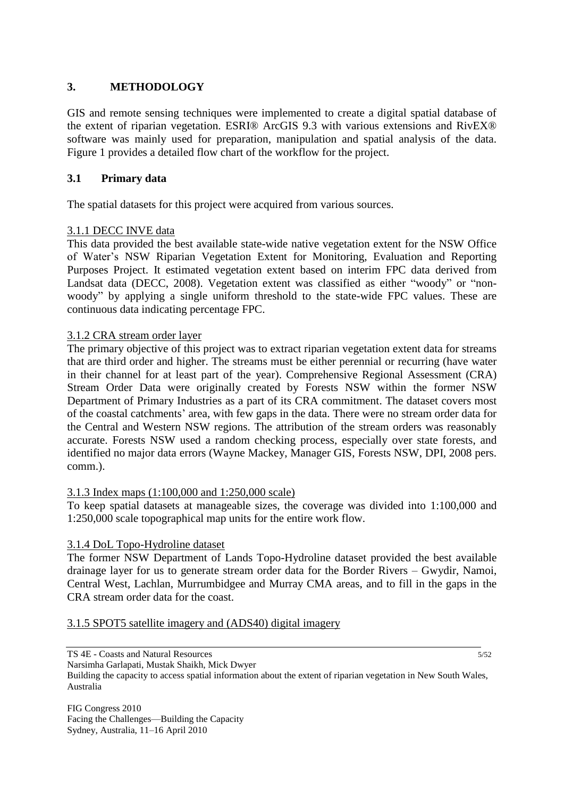# **3. METHODOLOGY**

GIS and remote sensing techniques were implemented to create a digital spatial database of the extent of riparian vegetation. ESRI® ArcGIS 9.3 with various extensions and RivEX® software was mainly used for preparation, manipulation and spatial analysis of the data. Figure 1 provides a detailed flow chart of the workflow for the project.

# **3.1 Primary data**

The spatial datasets for this project were acquired from various sources.

## 3.1.1 DECC INVE data

This data provided the best available state-wide native vegetation extent for the NSW Office of Water's NSW Riparian Vegetation Extent for Monitoring, Evaluation and Reporting Purposes Project. It estimated vegetation extent based on interim FPC data derived from Landsat data (DECC, 2008). Vegetation extent was classified as either "woody" or "nonwoody" by applying a single uniform threshold to the state-wide FPC values. These are continuous data indicating percentage FPC.

## 3.1.2 CRA stream order layer

The primary objective of this project was to extract riparian vegetation extent data for streams that are third order and higher. The streams must be either perennial or recurring (have water in their channel for at least part of the year). Comprehensive Regional Assessment (CRA) Stream Order Data were originally created by Forests NSW within the former NSW Department of Primary Industries as a part of its CRA commitment. The dataset covers most of the coastal catchments' area, with few gaps in the data. There were no stream order data for the Central and Western NSW regions. The attribution of the stream orders was reasonably accurate. Forests NSW used a random checking process, especially over state forests, and identified no major data errors (Wayne Mackey, Manager GIS, Forests NSW, DPI, 2008 pers. comm.).

### 3.1.3 Index maps (1:100,000 and 1:250,000 scale)

To keep spatial datasets at manageable sizes, the coverage was divided into 1:100,000 and 1:250,000 scale topographical map units for the entire work flow.

# 3.1.4 DoL Topo-Hydroline dataset

The former NSW Department of Lands Topo-Hydroline dataset provided the best available drainage layer for us to generate stream order data for the Border Rivers – Gwydir, Namoi, Central West, Lachlan, Murrumbidgee and Murray CMA areas, and to fill in the gaps in the CRA stream order data for the coast.

### 3.1.5 SPOT5 satellite imagery and (ADS40) digital imagery

TS 4E - Coasts and Natural Resources 5/52

Narsimha Garlapati, Mustak Shaikh, Mick Dwyer

Building the capacity to access spatial information about the extent of riparian vegetation in New South Wales, Australia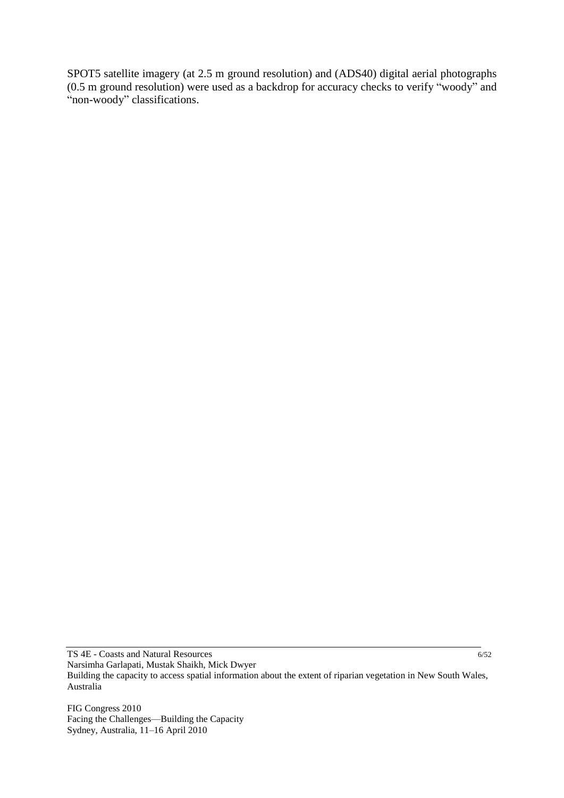SPOT5 satellite imagery (at 2.5 m ground resolution) and (ADS40) digital aerial photographs  $(0.5 \text{ m} \text{ ground resolution})$  were used as a backdrop for accuracy checks to verify "woody" and "non-woody" classifications.

TS 4E - Coasts and Natural Resources 6/52 Narsimha Garlapati, Mustak Shaikh, Mick Dwyer Building the capacity to access spatial information about the extent of riparian vegetation in New South Wales, Australia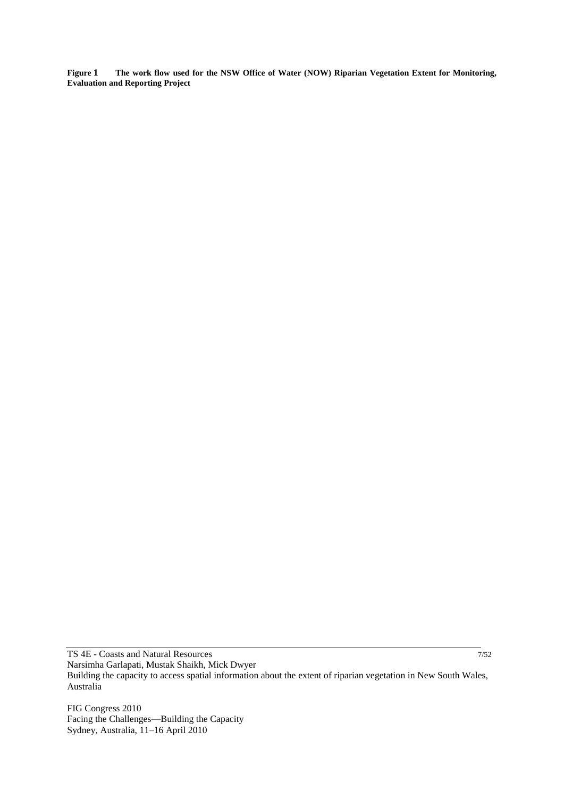**Figure 1 The work flow used for the NSW Office of Water (NOW) Riparian Vegetation Extent for Monitoring, Evaluation and Reporting Project**

TS 4E - Coasts and Natural Resources 7/52 Narsimha Garlapati, Mustak Shaikh, Mick Dwyer Building the capacity to access spatial information about the extent of riparian vegetation in New South Wales, Australia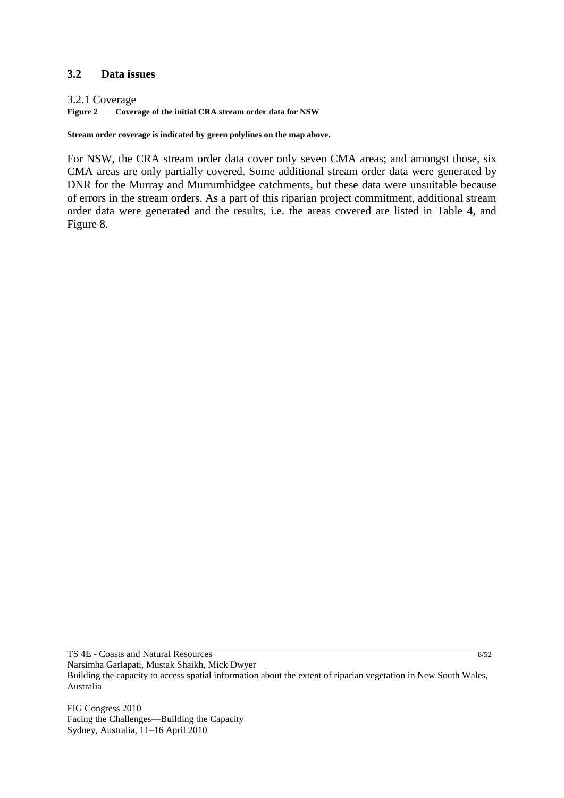### **3.2 Data issues**

#### 3.2.1 Coverage

**Figure 2 Coverage of the initial CRA stream order data for NSW**

#### **Stream order coverage is indicated by green polylines on the map above.**

For NSW, the CRA stream order data cover only seven CMA areas; and amongst those, six CMA areas are only partially covered. Some additional stream order data were generated by DNR for the Murray and Murrumbidgee catchments, but these data were unsuitable because of errors in the stream orders. As a part of this riparian project commitment, additional stream order data were generated and the results, i.e. the areas covered are listed in Table 4, and Figure 8.

TS 4E - Coasts and Natural Resources 8/52 Narsimha Garlapati, Mustak Shaikh, Mick Dwyer Building the capacity to access spatial information about the extent of riparian vegetation in New South Wales, Australia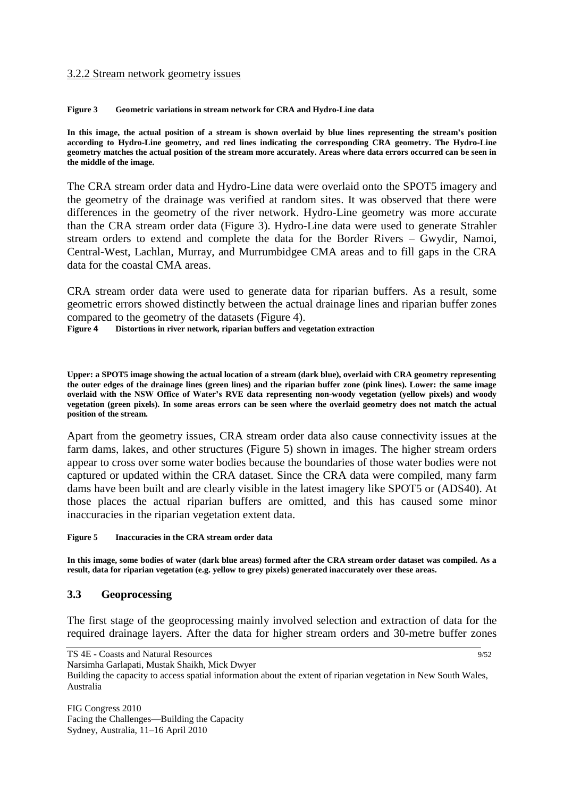### 3.2.2 Stream network geometry issues

**Figure 3 Geometric variations in stream network for CRA and Hydro-Line data**

**In this image, the actual position of a stream is shown overlaid by blue lines representing the stream's position according to Hydro-Line geometry, and red lines indicating the corresponding CRA geometry. The Hydro-Line geometry matches the actual position of the stream more accurately. Areas where data errors occurred can be seen in the middle of the image.**

The CRA stream order data and Hydro-Line data were overlaid onto the SPOT5 imagery and the geometry of the drainage was verified at random sites. It was observed that there were differences in the geometry of the river network. Hydro-Line geometry was more accurate than the CRA stream order data (Figure 3). Hydro-Line data were used to generate Strahler stream orders to extend and complete the data for the Border Rivers – Gwydir, Namoi, Central-West, Lachlan, Murray, and Murrumbidgee CMA areas and to fill gaps in the CRA data for the coastal CMA areas.

CRA stream order data were used to generate data for riparian buffers. As a result, some geometric errors showed distinctly between the actual drainage lines and riparian buffer zones compared to the geometry of the datasets (Figure 4).

**Figure 4 Distortions in river network, riparian buffers and vegetation extraction**

**Upper: a SPOT5 image showing the actual location of a stream (dark blue), overlaid with CRA geometry representing the outer edges of the drainage lines (green lines) and the riparian buffer zone (pink lines). Lower: the same image overlaid with the NSW Office of Water's RVE data representing non-woody vegetation (yellow pixels) and woody vegetation (green pixels). In some areas errors can be seen where the overlaid geometry does not match the actual position of the stream.**

Apart from the geometry issues, CRA stream order data also cause connectivity issues at the farm dams, lakes, and other structures (Figure 5) shown in images. The higher stream orders appear to cross over some water bodies because the boundaries of those water bodies were not captured or updated within the CRA dataset. Since the CRA data were compiled, many farm dams have been built and are clearly visible in the latest imagery like SPOT5 or (ADS40). At those places the actual riparian buffers are omitted, and this has caused some minor inaccuracies in the riparian vegetation extent data.

**Figure 5 Inaccuracies in the CRA stream order data**

**In this image, some bodies of water (dark blue areas) formed after the CRA stream order dataset was compiled. As a result, data for riparian vegetation (e.g. yellow to grey pixels) generated inaccurately over these areas.**

### **3.3 Geoprocessing**

The first stage of the geoprocessing mainly involved selection and extraction of data for the required drainage layers. After the data for higher stream orders and 30-metre buffer zones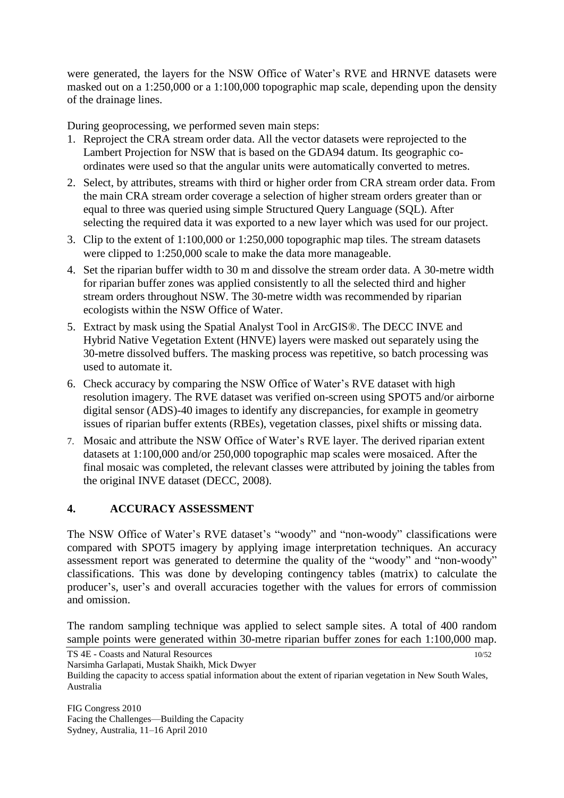were generated, the layers for the NSW Office of Water's RVE and HRNVE datasets were masked out on a 1:250,000 or a 1:100,000 topographic map scale, depending upon the density of the drainage lines.

During geoprocessing, we performed seven main steps:

- 1. Reproject the CRA stream order data. All the vector datasets were reprojected to the Lambert Projection for NSW that is based on the GDA94 datum. Its geographic coordinates were used so that the angular units were automatically converted to metres.
- 2. Select, by attributes, streams with third or higher order from CRA stream order data. From the main CRA stream order coverage a selection of higher stream orders greater than or equal to three was queried using simple Structured Query Language (SQL). After selecting the required data it was exported to a new layer which was used for our project.
- 3. Clip to the extent of 1:100,000 or 1:250,000 topographic map tiles. The stream datasets were clipped to 1:250,000 scale to make the data more manageable.
- 4. Set the riparian buffer width to 30 m and dissolve the stream order data. A 30-metre width for riparian buffer zones was applied consistently to all the selected third and higher stream orders throughout NSW. The 30-metre width was recommended by riparian ecologists within the NSW Office of Water.
- 5. Extract by mask using the Spatial Analyst Tool in ArcGIS®. The DECC INVE and Hybrid Native Vegetation Extent (HNVE) layers were masked out separately using the 30-metre dissolved buffers. The masking process was repetitive, so batch processing was used to automate it.
- 6. Check accuracy by comparing the NSW Office of Water's RVE dataset with high resolution imagery. The RVE dataset was verified on-screen using SPOT5 and/or airborne digital sensor (ADS)-40 images to identify any discrepancies, for example in geometry issues of riparian buffer extents (RBEs), vegetation classes, pixel shifts or missing data.
- 7. Mosaic and attribute the NSW Office of Water's RVE layer. The derived riparian extent datasets at 1:100,000 and/or 250,000 topographic map scales were mosaiced. After the final mosaic was completed, the relevant classes were attributed by joining the tables from the original INVE dataset (DECC, 2008).

# **4. ACCURACY ASSESSMENT**

The NSW Office of Water's RVE dataset's "woody" and "non-woody" classifications were compared with SPOT5 imagery by applying image interpretation techniques. An accuracy assessment report was generated to determine the quality of the "woody" and "non-woody" classifications. This was done by developing contingency tables (matrix) to calculate the producer's, user's and overall accuracies together with the values for errors of commission and omission.

The random sampling technique was applied to select sample sites. A total of 400 random sample points were generated within 30-metre riparian buffer zones for each 1:100,000 map.

TS 4E - Coasts and Natural Resources 10/52

Narsimha Garlapati, Mustak Shaikh, Mick Dwyer Building the capacity to access spatial information about the extent of riparian vegetation in New South Wales, Australia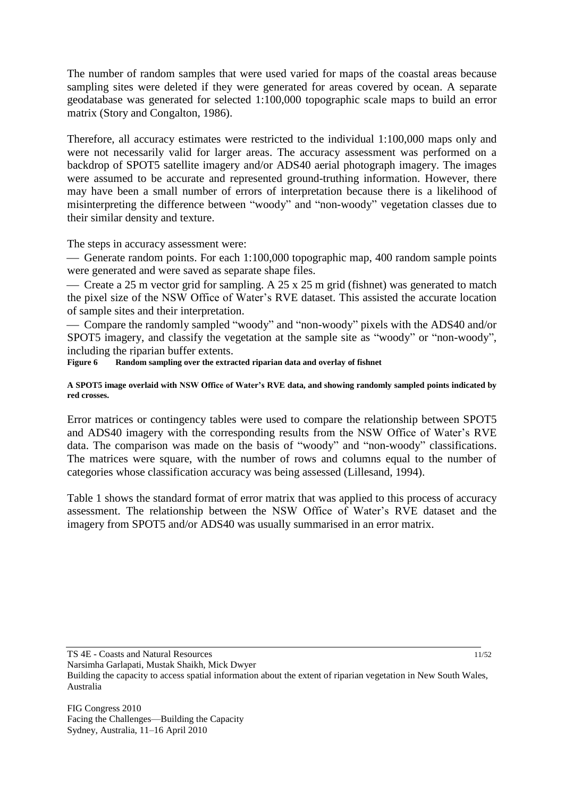The number of random samples that were used varied for maps of the coastal areas because sampling sites were deleted if they were generated for areas covered by ocean. A separate geodatabase was generated for selected 1:100,000 topographic scale maps to build an error matrix (Story and Congalton, 1986).

Therefore, all accuracy estimates were restricted to the individual 1:100,000 maps only and were not necessarily valid for larger areas. The accuracy assessment was performed on a backdrop of SPOT5 satellite imagery and/or ADS40 aerial photograph imagery. The images were assumed to be accurate and represented ground-truthing information. However, there may have been a small number of errors of interpretation because there is a likelihood of misinterpreting the difference between "woody" and "non-woody" vegetation classes due to their similar density and texture.

The steps in accuracy assessment were:

 Generate random points. For each 1:100,000 topographic map, 400 random sample points were generated and were saved as separate shape files.

— Create a 25 m vector grid for sampling. A 25 x 25 m grid (fishnet) was generated to match the pixel size of the NSW Office of Water's RVE dataset. This assisted the accurate location of sample sites and their interpretation.

— Compare the randomly sampled "woody" and "non-woody" pixels with the ADS40 and/or SPOT5 imagery, and classify the vegetation at the sample site as "woody" or "non-woody", including the riparian buffer extents.

**Figure 6 Random sampling over the extracted riparian data and overlay of fishnet**

### **A SPOT5 image overlaid with NSW Office of Water's RVE data, and showing randomly sampled points indicated by red crosses.**

Error matrices or contingency tables were used to compare the relationship between SPOT5 and ADS40 imagery with the corresponding results from the NSW Office of Water's RVE data. The comparison was made on the basis of "woody" and "non-woody" classifications. The matrices were square, with the number of rows and columns equal to the number of categories whose classification accuracy was being assessed (Lillesand, 1994).

Table 1 shows the standard format of error matrix that was applied to this process of accuracy assessment. The relationship between the NSW Office of Water's RVE dataset and the imagery from SPOT5 and/or ADS40 was usually summarised in an error matrix.

TS 4E - Coasts and Natural Resources 11/52

Narsimha Garlapati, Mustak Shaikh, Mick Dwyer Building the capacity to access spatial information about the extent of riparian vegetation in New South Wales, Australia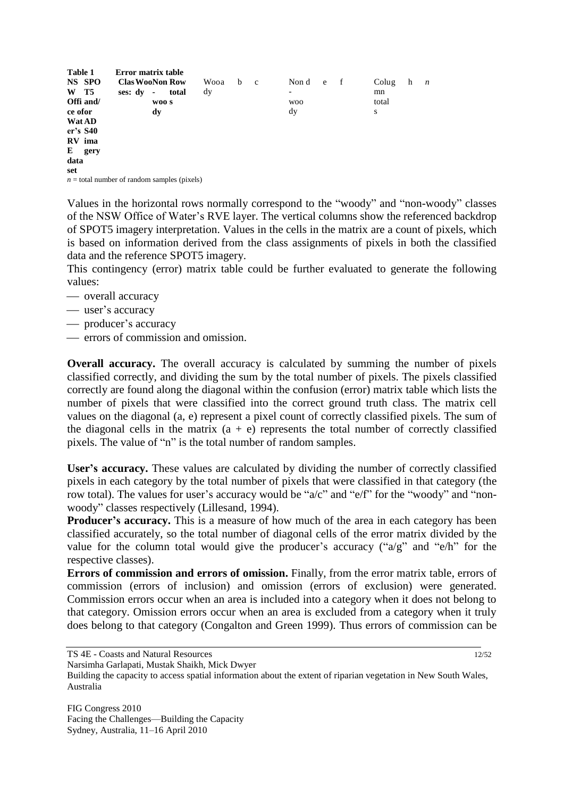| Table 1       | Error matrix table                            |      |   |              |                          |   |      |       |   |                  |
|---------------|-----------------------------------------------|------|---|--------------|--------------------------|---|------|-------|---|------------------|
| NS SPO        | <b>Clas WooNon Row</b>                        | Wooa | b | $\mathbf{c}$ | Non d                    | e | $-f$ | Colug | h | $\boldsymbol{n}$ |
| W<br>T5       | ses: dy<br>total<br>$\blacksquare$            | dy   |   |              | $\overline{\phantom{0}}$ |   |      | mn    |   |                  |
| Offi and/     | WOO S                                         |      |   |              | <b>WOO</b>               |   |      | total |   |                  |
| ce ofor       | dy                                            |      |   |              | dy                       |   |      | S     |   |                  |
| <b>Wat AD</b> |                                               |      |   |              |                          |   |      |       |   |                  |
| er's S40      |                                               |      |   |              |                          |   |      |       |   |                  |
| RV ima        |                                               |      |   |              |                          |   |      |       |   |                  |
| E<br>gery     |                                               |      |   |              |                          |   |      |       |   |                  |
| data          |                                               |      |   |              |                          |   |      |       |   |                  |
| set           |                                               |      |   |              |                          |   |      |       |   |                  |
|               | $n =$ total number of random samples (pixels) |      |   |              |                          |   |      |       |   |                  |

Values in the horizontal rows normally correspond to the "woody" and "non-woody" classes of the NSW Office of Water's RVE layer. The vertical columns show the referenced backdrop of SPOT5 imagery interpretation. Values in the cells in the matrix are a count of pixels, which is based on information derived from the class assignments of pixels in both the classified data and the reference SPOT5 imagery.

This contingency (error) matrix table could be further evaluated to generate the following values:

- overall accuracy
- user's accuracy
- producer's accuracy
- errors of commission and omission.

**Overall accuracy.** The overall accuracy is calculated by summing the number of pixels classified correctly, and dividing the sum by the total number of pixels. The pixels classified correctly are found along the diagonal within the confusion (error) matrix table which lists the number of pixels that were classified into the correct ground truth class. The matrix cell values on the diagonal (a, e) represent a pixel count of correctly classified pixels. The sum of the diagonal cells in the matrix  $(a + e)$  represents the total number of correctly classified pixels. The value of "n" is the total number of random samples.

**User's accuracy.** These values are calculated by dividing the number of correctly classified pixels in each category by the total number of pixels that were classified in that category (the row total). The values for user's accuracy would be "a/c" and "e/f" for the "woody" and "nonwoody" classes respectively (Lillesand, 1994).

**Producer's accuracy.** This is a measure of how much of the area in each category has been classified accurately, so the total number of diagonal cells of the error matrix divided by the value for the column total would give the producer's accuracy (" $a/g$ " and " $e/h$ " for the respective classes).

**Errors of commission and errors of omission.** Finally, from the error matrix table, errors of commission (errors of inclusion) and omission (errors of exclusion) were generated. Commission errors occur when an area is included into a category when it does not belong to that category. Omission errors occur when an area is excluded from a category when it truly does belong to that category (Congalton and Green 1999). Thus errors of commission can be

TS 4E - Coasts and Natural Resources 12/52

Narsimha Garlapati, Mustak Shaikh, Mick Dwyer

Building the capacity to access spatial information about the extent of riparian vegetation in New South Wales, Australia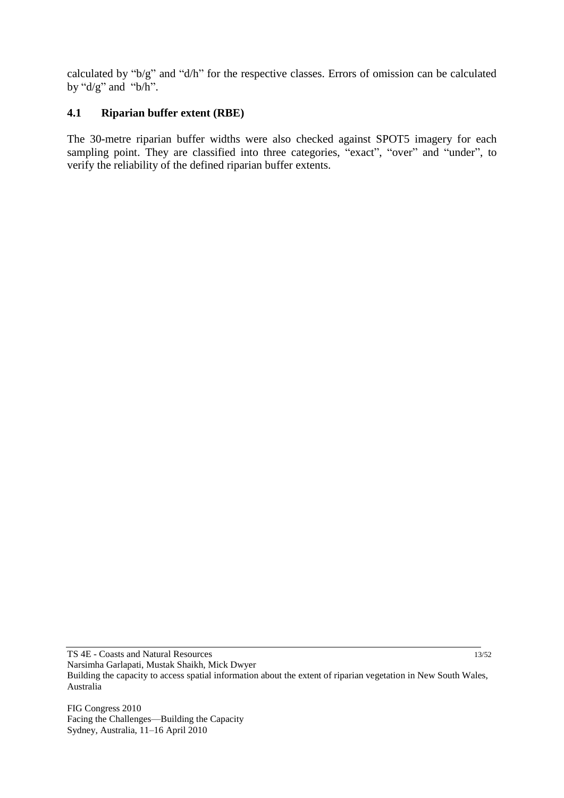calculated by "b/g" and "d/h" for the respective classes. Errors of omission can be calculated by " $d/g$ " and " $b/h$ ".

# **4.1 Riparian buffer extent (RBE)**

The 30-metre riparian buffer widths were also checked against SPOT5 imagery for each sampling point. They are classified into three categories, "exact", "over" and "under", to verify the reliability of the defined riparian buffer extents.

TS 4E - Coasts and Natural Resources 13/52 Narsimha Garlapati, Mustak Shaikh, Mick Dwyer Building the capacity to access spatial information about the extent of riparian vegetation in New South Wales, Australia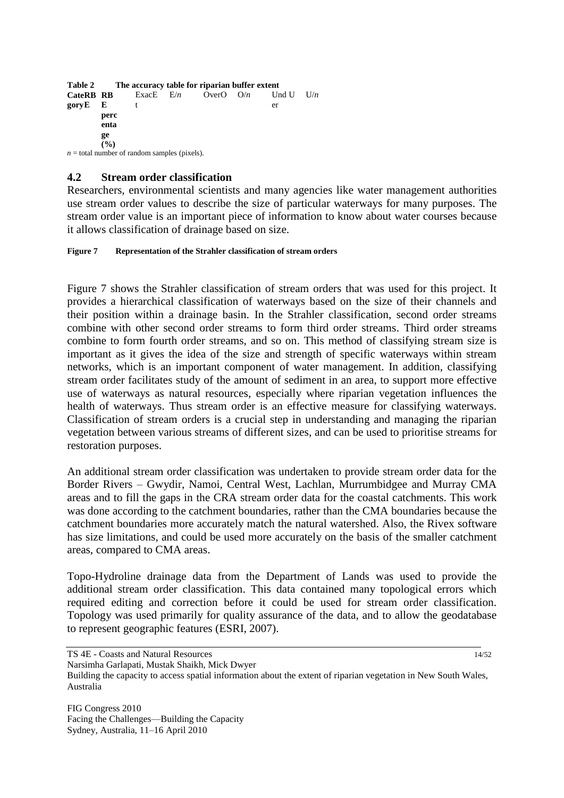**Table 2 The accuracy table for riparian buffer extent Cate RB RB gory E E perc enta ge (%)** Exac E E/*n* OverO O/*n* Und t er Und U  $U/n$  $n =$  total number of random samples (pixels).

## **4.2 Stream order classification**

Researchers, environmental scientists and many agencies like water management authorities use stream order values to describe the size of particular waterways for many purposes. The stream order value is an important piece of information to know about water courses because it allows classification of drainage based on size.

### **Figure 7 Representation of the Strahler classification of stream orders**

Figure 7 shows the Strahler classification of stream orders that was used for this project. It provides a hierarchical classification of waterways based on the size of their channels and their position within a drainage basin. In the Strahler classification, second order streams combine with other second order streams to form third order streams. Third order streams combine to form fourth order streams, and so on. This method of classifying stream size is important as it gives the idea of the size and strength of specific waterways within stream networks, which is an important component of water management. In addition, classifying stream order facilitates study of the amount of sediment in an area, to support more effective use of waterways as natural resources, especially where riparian vegetation influences the health of waterways. Thus stream order is an effective measure for classifying waterways. Classification of stream orders is a crucial step in understanding and managing the riparian vegetation between various streams of different sizes, and can be used to prioritise streams for restoration purposes.

An additional stream order classification was undertaken to provide stream order data for the Border Rivers – Gwydir, Namoi, Central West, Lachlan, Murrumbidgee and Murray CMA areas and to fill the gaps in the CRA stream order data for the coastal catchments. This work was done according to the catchment boundaries, rather than the CMA boundaries because the catchment boundaries more accurately match the natural watershed. Also, the Rivex software has size limitations, and could be used more accurately on the basis of the smaller catchment areas, compared to CMA areas.

Topo-Hydroline drainage data from the Department of Lands was used to provide the additional stream order classification. This data contained many topological errors which required editing and correction before it could be used for stream order classification. Topology was used primarily for quality assurance of the data, and to allow the geodatabase to represent geographic features (ESRI, 2007).

TS 4E - Coasts and Natural Resources 14/52 Narsimha Garlapati, Mustak Shaikh, Mick Dwyer Building the capacity to access spatial information about the extent of riparian vegetation in New South Wales, Australia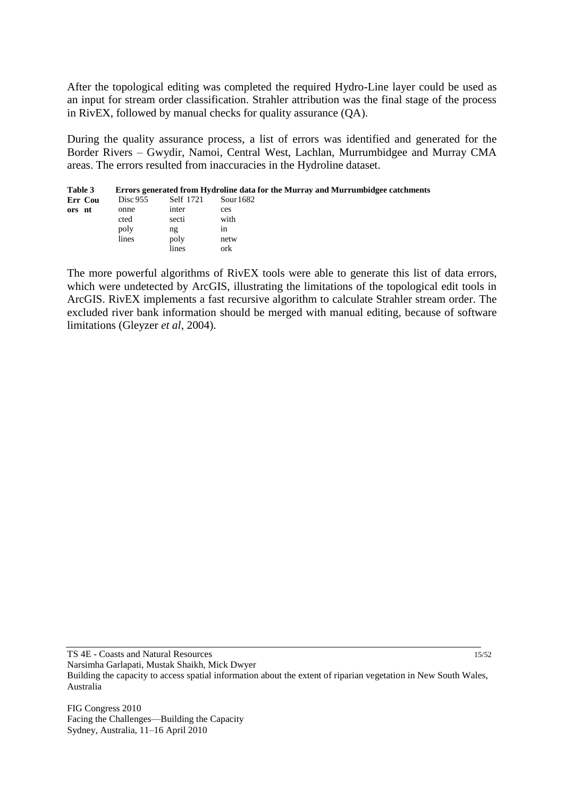After the topological editing was completed the required Hydro-Line layer could be used as an input for stream order classification. Strahler attribution was the final stage of the process in RivEX, followed by manual checks for quality assurance (QA).

During the quality assurance process, a list of errors was identified and generated for the Border Rivers – Gwydir, Namoi, Central West, Lachlan, Murrumbidgee and Murray CMA areas. The errors resulted from inaccuracies in the Hydroline dataset.

| Table 3 |          |           | Errors generated from Hydroline data for the Murray and Murrumbidgee catchments |
|---------|----------|-----------|---------------------------------------------------------------------------------|
| Err Cou | Disc 955 | Self 1721 | Sour 1682                                                                       |
| ors nt  | onne     | inter     | ces                                                                             |
|         | cted     | secti     | with                                                                            |
|         | poly     | ng        | 1n                                                                              |
|         | lines    | poly      | netw                                                                            |
|         |          | lines     | ork                                                                             |

The more powerful algorithms of RivEX tools were able to generate this list of data errors, which were undetected by ArcGIS, illustrating the limitations of the topological edit tools in ArcGIS. RivEX implements a fast recursive algorithm to calculate Strahler stream order. The excluded river bank information should be merged with manual editing, because of software limitations (Gleyzer *et al*, 2004).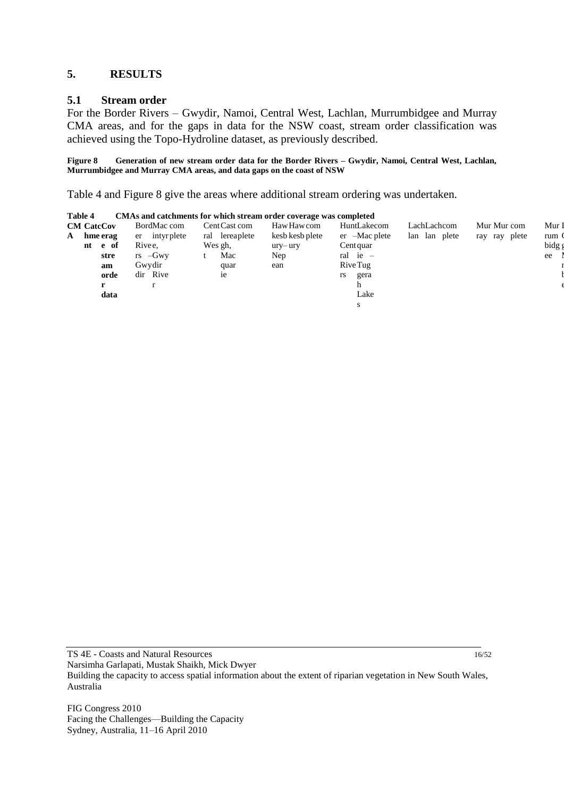## **5. RESULTS**

### **5.1 Stream order**

For the Border Rivers – Gwydir, Namoi, Central West, Lachlan, Murrumbidgee and Murray CMA areas, and for the gaps in data for the NSW coast, stream order classification was achieved using the Topo-Hydroline dataset, as previously described.

**Figure 8 Generation of new stream order data for the Border Rivers – Gwydir, Namoi, Central West, Lachlan, Murrumbidgee and Murray CMA areas, and data gaps on the coast of NSW**

Table 4 and Figure 8 give the areas where additional stream ordering was undertaken.

| <b>CM</b> CatcCov<br>HuntLakecom<br>LachLachcom<br>Mur Mur com<br>Cent Cast com<br>Haw Haw com<br>BordMac com<br>kesb kesb plete<br>ral lereaplete<br>$er$ –Mac plete<br>lan lan plete<br>er intyrplete<br>ray ray plete<br>$\mathbf{A}$<br>hme erag<br>Wes gh,<br>Rivee,<br>Cent quar<br>nt<br>e of<br>$ury -ury$<br>Mac<br>Nep<br>ral ie $-$<br>$rs$ –Gwy<br>stre<br>ee<br>Gwydir<br>Rive Tug<br>ean<br>am<br>quar<br>dir Rive<br>orde<br><sub>1e</sub><br>gera<br>rs<br>Lake<br>data<br>S | Table 4 |  |  | CMAs and catchments for which stream order coverage was completed |  |  |        |
|----------------------------------------------------------------------------------------------------------------------------------------------------------------------------------------------------------------------------------------------------------------------------------------------------------------------------------------------------------------------------------------------------------------------------------------------------------------------------------------------|---------|--|--|-------------------------------------------------------------------|--|--|--------|
|                                                                                                                                                                                                                                                                                                                                                                                                                                                                                              |         |  |  |                                                                   |  |  | Mur I  |
|                                                                                                                                                                                                                                                                                                                                                                                                                                                                                              |         |  |  |                                                                   |  |  | rum (  |
|                                                                                                                                                                                                                                                                                                                                                                                                                                                                                              |         |  |  |                                                                   |  |  | bidg g |
|                                                                                                                                                                                                                                                                                                                                                                                                                                                                                              |         |  |  |                                                                   |  |  |        |
|                                                                                                                                                                                                                                                                                                                                                                                                                                                                                              |         |  |  |                                                                   |  |  |        |
|                                                                                                                                                                                                                                                                                                                                                                                                                                                                                              |         |  |  |                                                                   |  |  |        |
|                                                                                                                                                                                                                                                                                                                                                                                                                                                                                              |         |  |  |                                                                   |  |  |        |
|                                                                                                                                                                                                                                                                                                                                                                                                                                                                                              |         |  |  |                                                                   |  |  |        |
|                                                                                                                                                                                                                                                                                                                                                                                                                                                                                              |         |  |  |                                                                   |  |  |        |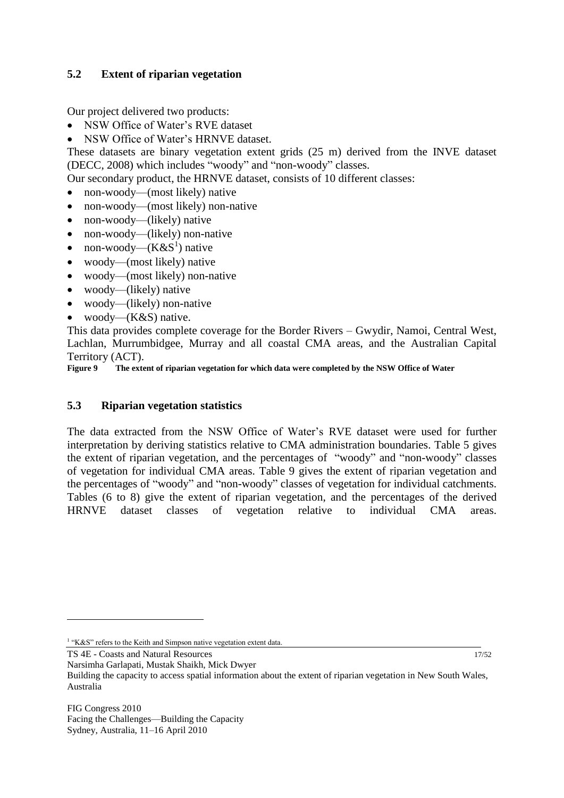# **5.2 Extent of riparian vegetation**

Our project delivered two products:

- NSW Office of Water's RVE dataset
- NSW Office of Water's HRNVE dataset.

These datasets are binary vegetation extent grids (25 m) derived from the INVE dataset (DECC, 2008) which includes "woody" and "non-woody" classes.

Our secondary product, the HRNVE dataset, consists of 10 different classes:

- non-woody—(most likely) native
- non-woody—(most likely) non-native
- non-woody—(likely) native
- non-woody—(likely) non-native
- non-woody— $(K\&S^1)$  native
- woody—(most likely) native
- woody—(most likely) non-native
- woody—(likely) native
- woody—(likely) non-native
- woody—(K&S) native.

This data provides complete coverage for the Border Rivers – Gwydir, Namoi, Central West, Lachlan, Murrumbidgee, Murray and all coastal CMA areas, and the Australian Capital Territory (ACT).<br>Figure 9 The exte

**Figure 9 The extent of riparian vegetation for which data were completed by the NSW Office of Water**

# **5.3 Riparian vegetation statistics**

The data extracted from the NSW Office of Water's RVE dataset were used for further interpretation by deriving statistics relative to CMA administration boundaries. Table 5 gives the extent of riparian vegetation, and the percentages of "woody" and "non-woody" classes of vegetation for individual CMA areas. Table 9 gives the extent of riparian vegetation and the percentages of "woody" and "non-woody" classes of vegetation for individual catchments. Tables (6 to 8) give the extent of riparian vegetation, and the percentages of the derived HRNVE dataset classes of vegetation relative to individual CMA areas.

TS 4E - Coasts and Natural Resources 17/52

 $\overline{a}$ 

Narsimha Garlapati, Mustak Shaikh, Mick Dwyer

 $1$  "K&S" refers to the Keith and Simpson native vegetation extent data.

Building the capacity to access spatial information about the extent of riparian vegetation in New South Wales, Australia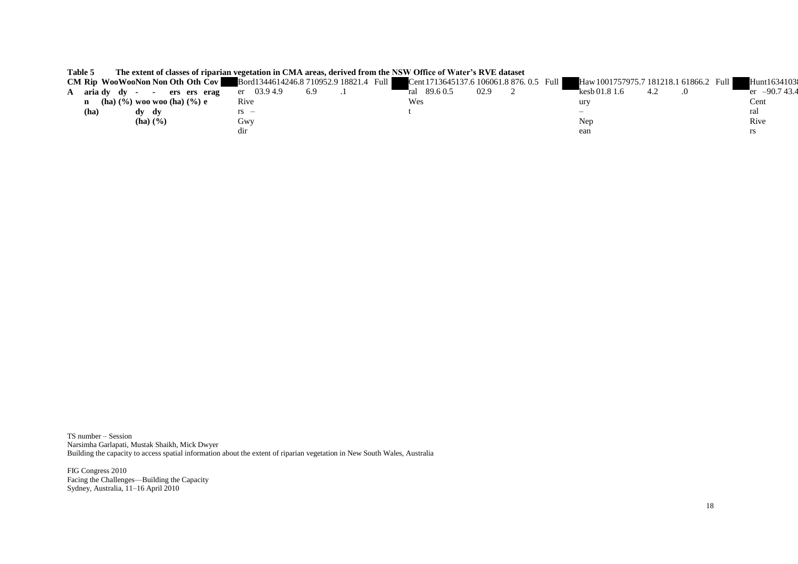|  | Table 5 |  |  |  | The extent of classes of riparian vegetation in CMA areas, derived from the NSW Office of Water's RVE dataset |  |
|--|---------|--|--|--|---------------------------------------------------------------------------------------------------------------|--|
|--|---------|--|--|--|---------------------------------------------------------------------------------------------------------------|--|

|      | <b>CM Rip WooWooNon Non Oth Oth Cov</b>                 | Bord1344614246.8 710952.9 18821.4 Full |     | Cent 1713645137.6 106061.8 876.0.5 Full |                          | Haw 1001757975.7 181218.1 61866.2 Full | Hunt1634103       |
|------|---------------------------------------------------------|----------------------------------------|-----|-----------------------------------------|--------------------------|----------------------------------------|-------------------|
| A    | aria dv dv - -<br>ers ers erag                          | 03.94.9<br>6.9<br>er                   | ra. | 02.9<br>89.60.5                         | kesb 01.8 1.6            | 4.4                                    | $-90.743.4$<br>er |
| n    | $(ha)$ $(\frac{9}{6})$ woo woo $(ha)$ $(\frac{9}{6})$ e | Rive                                   | Wes |                                         | urv                      |                                        | Cent              |
| (ha) | – dv<br>dv                                              | $rs -$                                 |     |                                         | $\overline{\phantom{a}}$ |                                        | ral               |
|      | $(ha)$ $(\frac{9}{6})$                                  | Gwy                                    |     |                                         | Nep                      |                                        | Rive              |
|      |                                                         | dır                                    |     |                                         | ean                      |                                        | rs                |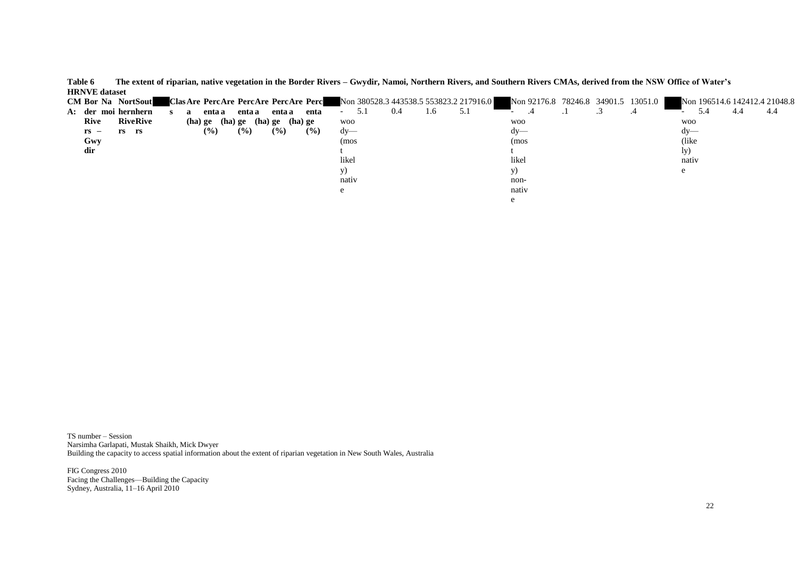| Table 6              | The extent of riparian, native vegetation in the Border Rivers – Gwydir, Namoi, Northern Rivers, and Southern Rivers CMAs, derived from the NSW Office of Water's |  |
|----------------------|-------------------------------------------------------------------------------------------------------------------------------------------------------------------|--|
| <b>HRNVE</b> dataset |                                                                                                                                                                   |  |

| <b>CM Bor Na NortSout</b>                                              | Clas Are Perc Are Perc Are Perc Are Perc Non 380528.3 443538.5 553823.2 217916.0 Non 92176.8 78246.8 34901.5 13051.0 |                                | Non 196514.6 142412.4 21048.8                 |
|------------------------------------------------------------------------|----------------------------------------------------------------------------------------------------------------------|--------------------------------|-----------------------------------------------|
| A: der moi hernhern<br>enta a<br>enta a<br>enta<br>enta a<br>а         | 5.1<br>5.1<br>1.6<br>0.4<br>$ \,$                                                                                    | .4<br>$\overline{\phantom{0}}$ | 5.4<br>4.4<br>4.4<br>$\overline{\phantom{0}}$ |
| <b>RiveRive</b><br>Rive<br>(ha) ge<br>$(ha)$ ge $(ha)$ ge<br>$(ha)$ ge | <b>WOO</b>                                                                                                           | W <sub>O</sub>                 | <b>WOO</b>                                    |
| $($ %)<br>$($ %)<br>$($ %)<br>$(\%)$<br>rs<br>rs<br>$rs -$             | $dy$ —                                                                                                               | $dy$ —                         | $dy$ —                                        |
| Gwy                                                                    | (mos                                                                                                                 | (mos                           | (like)                                        |
| dir                                                                    |                                                                                                                      |                                | ly)                                           |
|                                                                        | likel                                                                                                                | likel                          | nativ                                         |
|                                                                        |                                                                                                                      |                                | e                                             |
|                                                                        | nativ                                                                                                                | non-                           |                                               |
|                                                                        |                                                                                                                      | nativ                          |                                               |
|                                                                        |                                                                                                                      | e                              |                                               |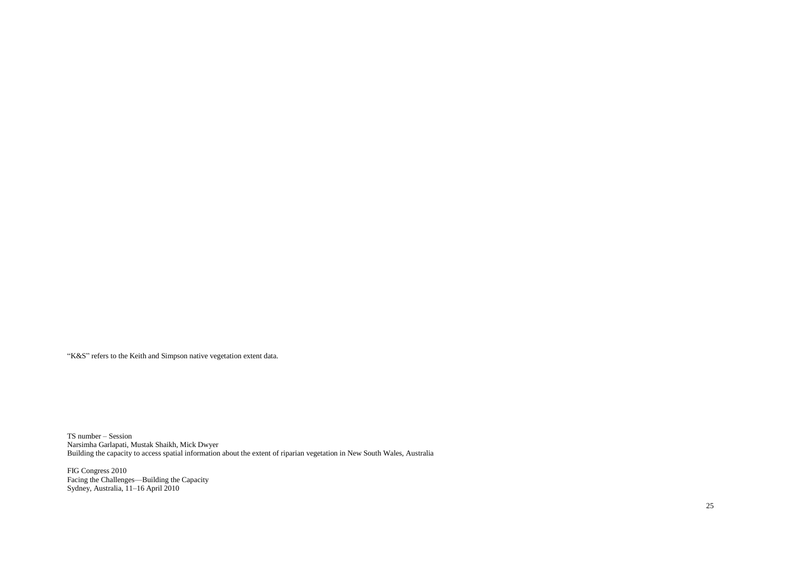―K&S‖ refers to the Keith and Simpson native vegetation extent data.

TS number – Session Narsimha Garlapati, Mustak Shaikh, Mick Dwyer Building the capacity to access spatial information about the extent of riparian vegetation in New South Wales, Australia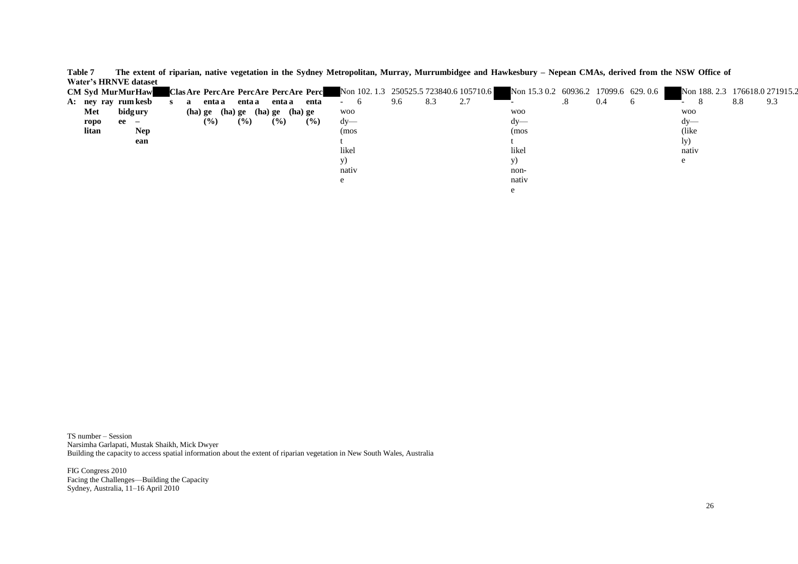| Water's HRNVE dataset   |                                                                                                                     |                          |            |             |                  |     |            |                                |
|-------------------------|---------------------------------------------------------------------------------------------------------------------|--------------------------|------------|-------------|------------------|-----|------------|--------------------------------|
| <b>CM Syd MurMurHaw</b> | Clas Are PercAre PercAre PercAre Perc Non 102. 1.3 250525.5 723840.6 105710.6 Non 15.3 0.2 60936.2 17099.6 629. 0.6 |                          |            |             |                  |     |            | Non 188. 2.3 176618.0 271915.2 |
| A: nev rav rum kesb     | enta<br>enta a<br>enta a<br>enta a                                                                                  | $\overline{\phantom{0}}$ | 8.3<br>9.6 | 27<br>، ، ، |                  | 0.4 |            | 8.8<br>9.3                     |
| bidgury<br>Met          | $(ha)$ ge $(ha)$ ge $(ha)$ ge<br>(ha) ge                                                                            | <b>WOO</b>               |            |             | W <sub>O</sub> O |     | <b>WOO</b> |                                |
| ropo<br>$ee -$          | (%)<br>(%)<br>(%<br>$(\%)$                                                                                          | $dv$ —                   |            |             | $dy$ —           |     | $dv$ —     |                                |
| litan<br><b>Nep</b>     |                                                                                                                     | (mos                     |            |             | (mos             |     | (like)     |                                |
| ean                     |                                                                                                                     |                          |            |             |                  |     | ly)        |                                |
|                         |                                                                                                                     | likel                    |            |             | likel            |     | nativ      |                                |
|                         |                                                                                                                     | v                        |            |             |                  |     |            |                                |

nonnativ e

**Table 7 The extent of riparian, native vegetation in the Sydney Metropolitan, Murray, Murrumbidgee and Hawkesbury – Nepean CMAs, derived from the NSW Office of**  Table 7<br>Water<sup>76</sup>

nativ e

TS number – Session Narsimha Garlapati, Mustak Shaikh, Mick Dwyer Building the capacity to access spatial information about the extent of riparian vegetation in New South Wales, Australia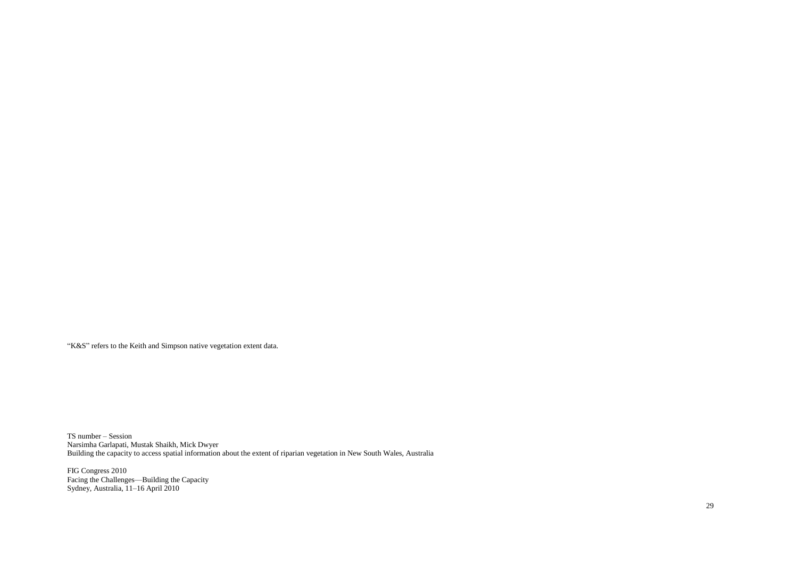"K&S" refers to the Keith and Simpson native vegetation extent data.

TS number – Session Narsimha Garlapati, Mustak Shaikh, Mick Dwyer Building the capacity to access spatial information about the extent of riparian vegetation in New South Wales, Australia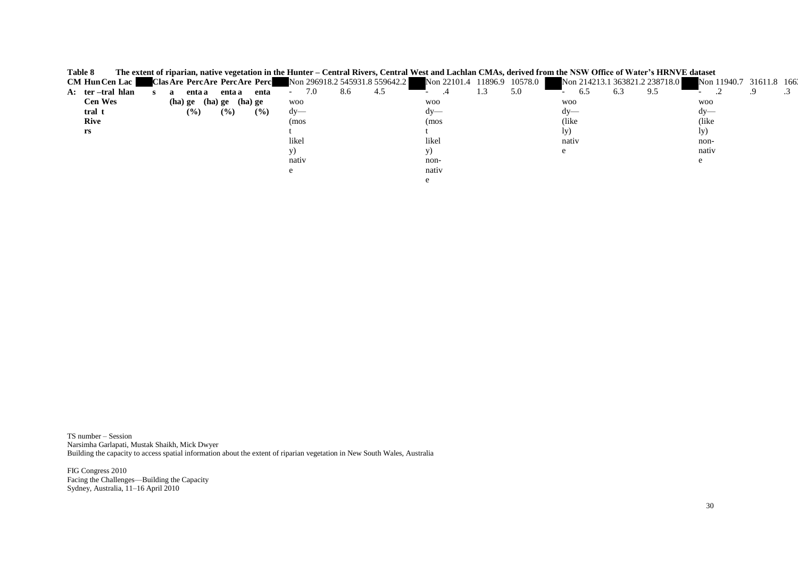| Table 8<br>The extent of riparian, native vegetation in the Hunter – Central Rivers, Central West and Lachlan CMAs, derived from the NSW Office of Water's HRNVE dataset |                                                                                            |                 |                                |                         |
|--------------------------------------------------------------------------------------------------------------------------------------------------------------------------|--------------------------------------------------------------------------------------------|-----------------|--------------------------------|-------------------------|
| <b>CM HunCen Lac</b>                                                                                                                                                     | Clas Are Perc Are Perc Are Perc Non 296918.2 545931.8 559642.2 Non 22101.4 11896.9 10578.0 |                 | Non 214213.1 363821.2 238718.0 | Non 11940.7 31611.8 166 |
| A: ter -tral hlan<br>enta a<br>enta<br>enta a<br>a                                                                                                                       | 4.5<br>7.0<br>8.6<br>$\overline{\phantom{0}}$                                              | 5.0             | 6.3<br>9.5<br>6.5              |                         |
| <b>Cen Wes</b><br>$(ha)$ ge $(ha)$ ge $(ha)$ ge                                                                                                                          | WOO                                                                                        | W <sub>00</sub> | WOO                            | W <sub>00</sub>         |
| (%)<br>tral t<br>(%)<br>$\frac{9}{6}$                                                                                                                                    | $dv$ —                                                                                     | $dv$ —          | $dv$ —                         | $dv$ —                  |
| <b>Rive</b>                                                                                                                                                              | (mos                                                                                       | (mos            | (like)                         | (like)                  |
| rs                                                                                                                                                                       |                                                                                            |                 | ly)                            | ly)                     |
|                                                                                                                                                                          | likel                                                                                      | likel           | nativ                          | non-                    |
|                                                                                                                                                                          |                                                                                            |                 |                                | nativ                   |
|                                                                                                                                                                          | nativ                                                                                      | non-            |                                |                         |
|                                                                                                                                                                          |                                                                                            | nativ           |                                |                         |
|                                                                                                                                                                          |                                                                                            |                 |                                |                         |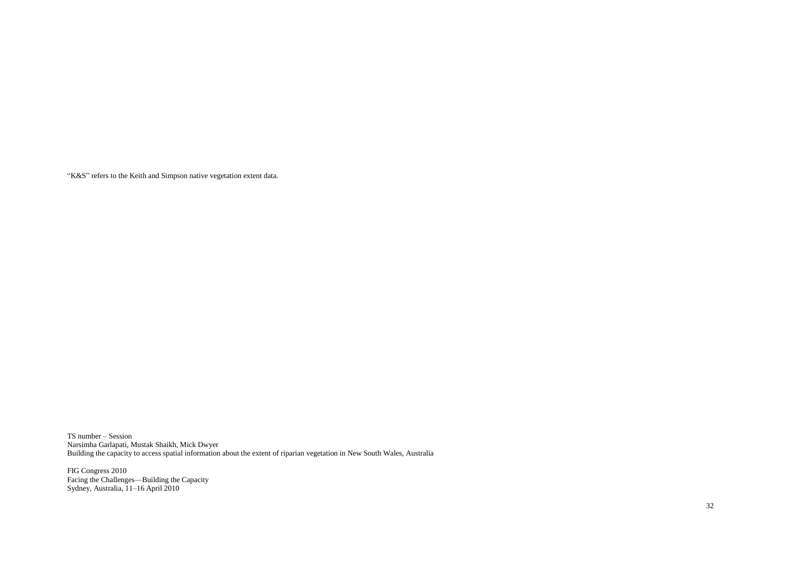―K&S‖ refers to the Keith and Simpson native vegetation extent data.

TS number – Session Narsimha Garlapati, Mustak Shaikh, Mick Dwyer Building the capacity to access spatial information about the extent of riparian vegetation in New South Wales, Australia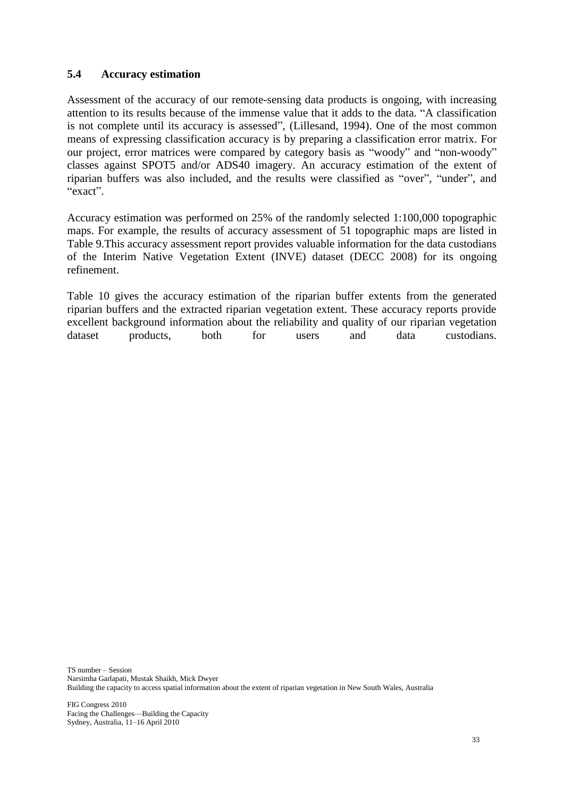## **5.4 Accuracy estimation**

Assessment of the accuracy of our remote-sensing data products is ongoing, with increasing attention to its results because of the immense value that it adds to the data. "A classification is not complete until its accuracy is assessed", (Lillesand, 1994). One of the most common means of expressing classification accuracy is by preparing a classification error matrix. For our project, error matrices were compared by category basis as "woody" and "non-woody" classes against SPOT5 and/or ADS40 imagery. An accuracy estimation of the extent of riparian buffers was also included, and the results were classified as "over", "under", and "exact".

Accuracy estimation was performed on 25% of the randomly selected 1:100,000 topographic maps. For example, the results of accuracy assessment of 51 topographic maps are listed in Table 9.This accuracy assessment report provides valuable information for the data custodians of the Interim Native Vegetation Extent (INVE) dataset (DECC 2008) for its ongoing refinement.

Table 10 gives the accuracy estimation of the riparian buffer extents from the generated riparian buffers and the extracted riparian vegetation extent. These accuracy reports provide excellent background information about the reliability and quality of our riparian vegetation dataset products, both for users and data custodians.

TS number – Session Narsimha Garlapati, Mustak Shaikh, Mick Dwyer Building the capacity to access spatial information about the extent of riparian vegetation in New South Wales, Australia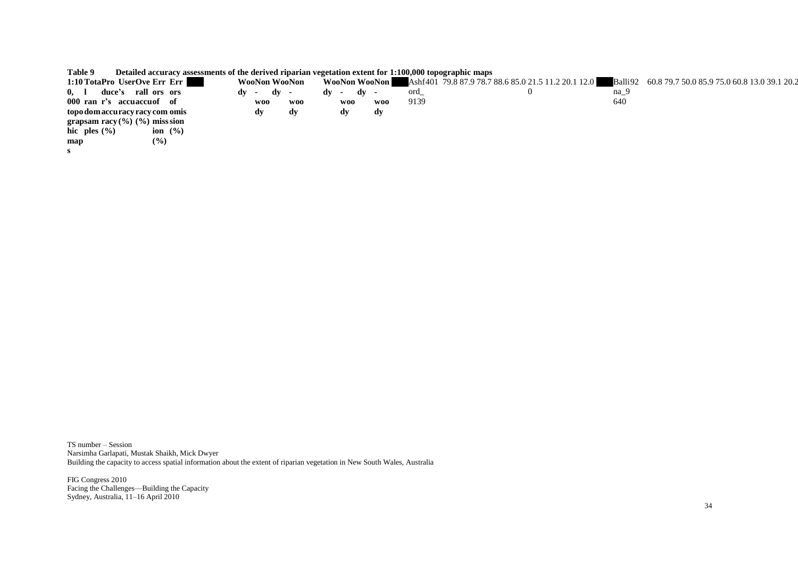| Table 9<br>Detailed accuracy assessments of the derived riparian vegetation extent for 1:100,000 topographic maps<br>1:10 TotaPro UserOve Err Err | WooNon WooNon |     |      |                 |    | WooNon WooNon |                         |                 |      | Ashf401 79.8 87.9 78.7 88.6 85.0 21.5 11.2 20.1 12.0 Balli92 60.8 79.7 50.0 85.9 75.0 60.8 13.0 39.1 20.2 |        |  |
|---------------------------------------------------------------------------------------------------------------------------------------------------|---------------|-----|------|-----------------|----|---------------|-------------------------|-----------------|------|-----------------------------------------------------------------------------------------------------------|--------|--|
| rall ors ors<br>0.1<br>duce's                                                                                                                     | dv<br>$\sim$  |     | dv - |                 | dv |               | dv<br><b>CONTRACTOR</b> |                 | ord  |                                                                                                           | $na_9$ |  |
| 000 ran r's accuaccuof of                                                                                                                         |               | W00 |      | W <sub>00</sub> |    | <b>WOO</b>    |                         | W <sub>00</sub> | 9139 |                                                                                                           | 640    |  |
| topo dom accuracy racy com omis                                                                                                                   |               | dv  |      | dy              |    | dv            |                         | dv              |      |                                                                                                           |        |  |
| grapsam racy $(\%)(\%)$ miss sion                                                                                                                 |               |     |      |                 |    |               |                         |                 |      |                                                                                                           |        |  |
| ion $(\% )$<br>hic ples $(\% )$                                                                                                                   |               |     |      |                 |    |               |                         |                 |      |                                                                                                           |        |  |
| $($ %)<br>map                                                                                                                                     |               |     |      |                 |    |               |                         |                 |      |                                                                                                           |        |  |
| S.                                                                                                                                                |               |     |      |                 |    |               |                         |                 |      |                                                                                                           |        |  |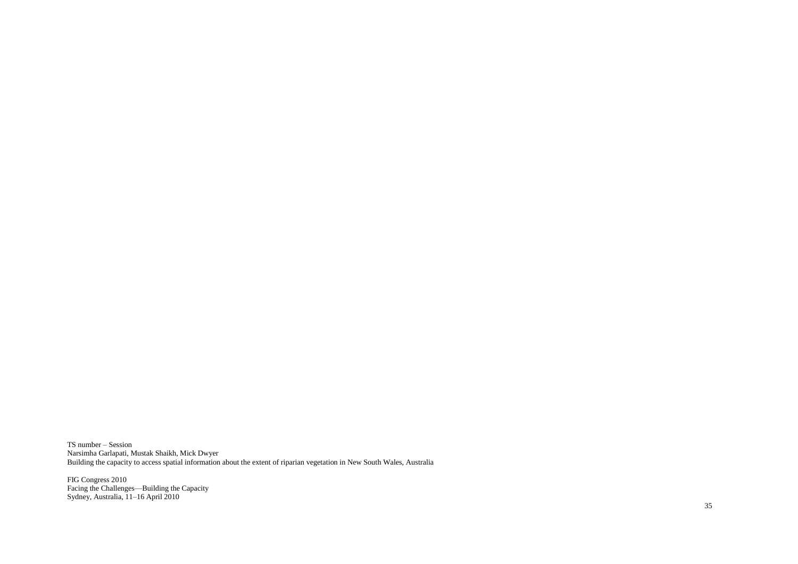TS number - Session Narsimha Garlapati, Mustak Shaikh, Mick Dwyer<br>Narsimha Garlapati, Mustak Shaikh, Mick Dwyer<br>Building the capacity to access spatial information about the extent of riparian vegetation in New South Wales, Australia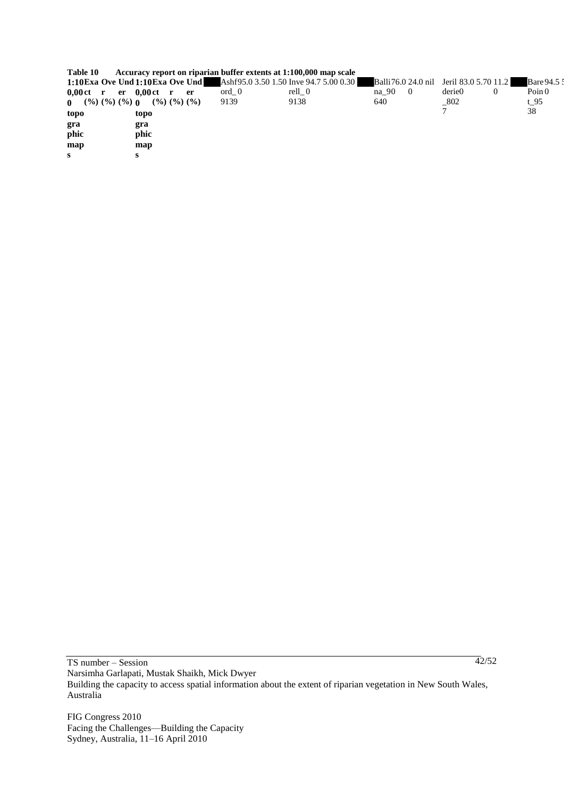| Table 10                                  |    |      |               |                         |                            | Accuracy report on riparian buffer extents at 1:100,000 map scale             |                    |                      |   |             |
|-------------------------------------------|----|------|---------------|-------------------------|----------------------------|-------------------------------------------------------------------------------|--------------------|----------------------|---|-------------|
|                                           |    |      |               |                         |                            | <b>1:10Exa Ove Und 1:10Exa Ove Und Ashf95.0 3.50 1.50 Inve 94.7 5.00 0.30</b> | Balli76.0 24.0 nil | Jeril 83.0 5.70 11.2 |   | Bare 94.5 : |
| 0.00ct                                    | er |      | $0.00ct \;$ r | er                      | $\quad \text{ord} \quad 0$ | rell 0                                                                        | na 90<br>$\theta$  | derie0               | 0 | Poin 0      |
| $(9/6)$ $(9/6)$ $(9/6)$ 0<br>$\mathbf{0}$ |    |      |               | $(9/6)$ $(9/6)$ $(9/6)$ | 9139                       | 9138                                                                          | 640                | 802                  |   | t 95        |
| topo                                      |    | topo |               |                         |                            |                                                                               |                    |                      |   | 38          |
| gra                                       |    | gra  |               |                         |                            |                                                                               |                    |                      |   |             |
| phic                                      |    | phic |               |                         |                            |                                                                               |                    |                      |   |             |
| map                                       |    | map  |               |                         |                            |                                                                               |                    |                      |   |             |
| s                                         |    | s    |               |                         |                            |                                                                               |                    |                      |   |             |
|                                           |    |      |               |                         |                            |                                                                               |                    |                      |   |             |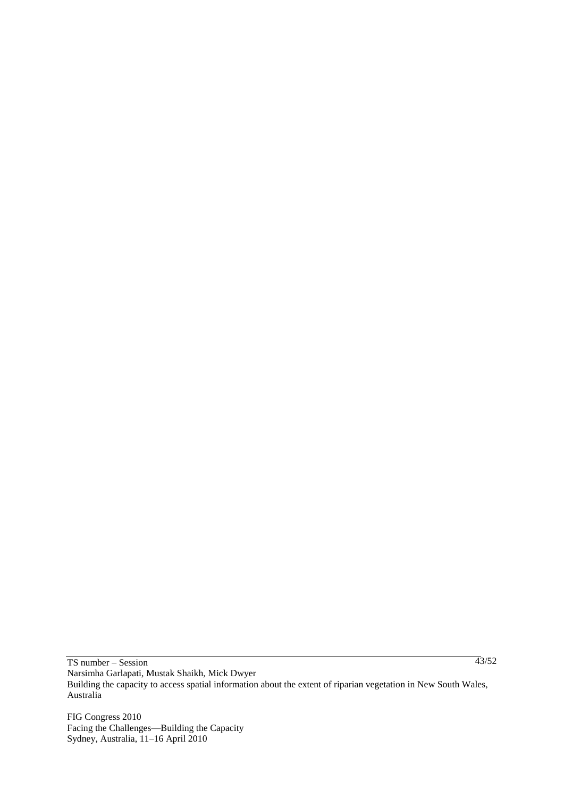TS number - Session Narsimha Garlapati, Mustak Shaikh, Mick Dwyer Building the capacity to access spatial information about the extent of riparian vegetation in New South Wales, Australia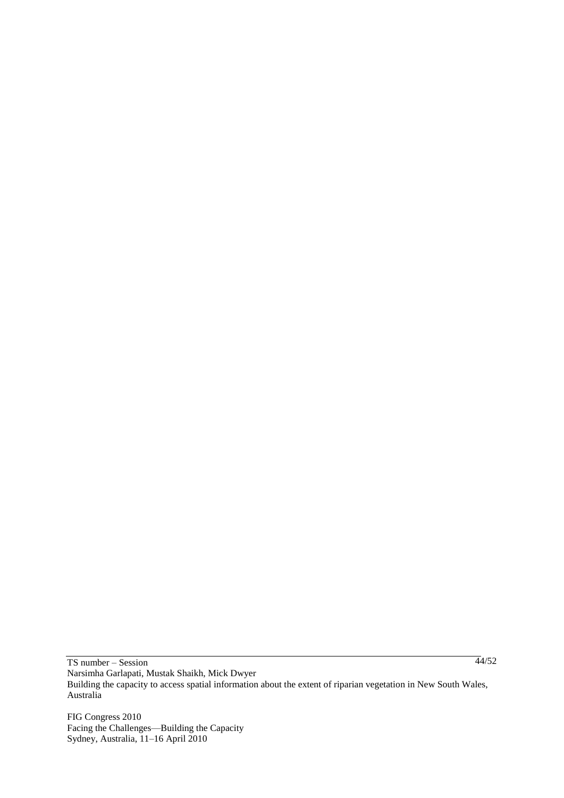TS number - Session Narsimha Garlapati, Mustak Shaikh, Mick Dwyer Building the capacity to access spatial information about the extent of riparian vegetation in New South Wales, Australia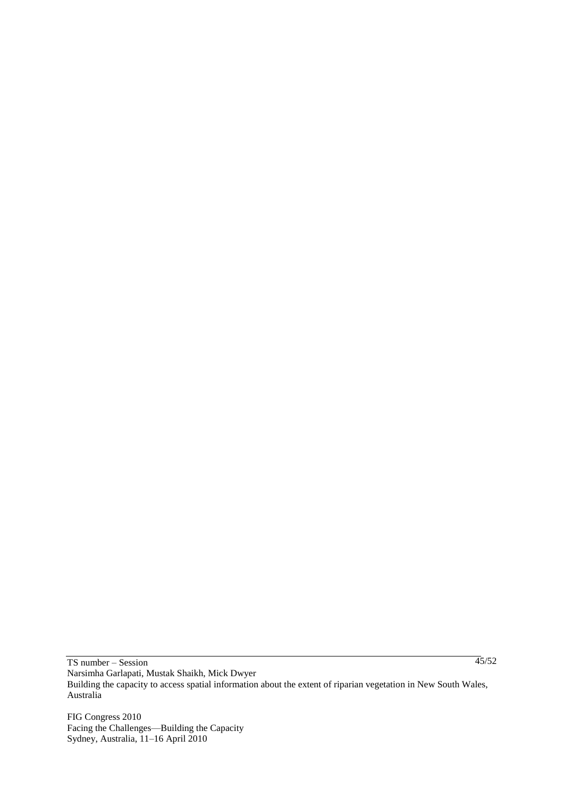TS number - Session Narsimha Garlapati, Mustak Shaikh, Mick Dwyer Building the capacity to access spatial information about the extent of riparian vegetation in New South Wales, Australia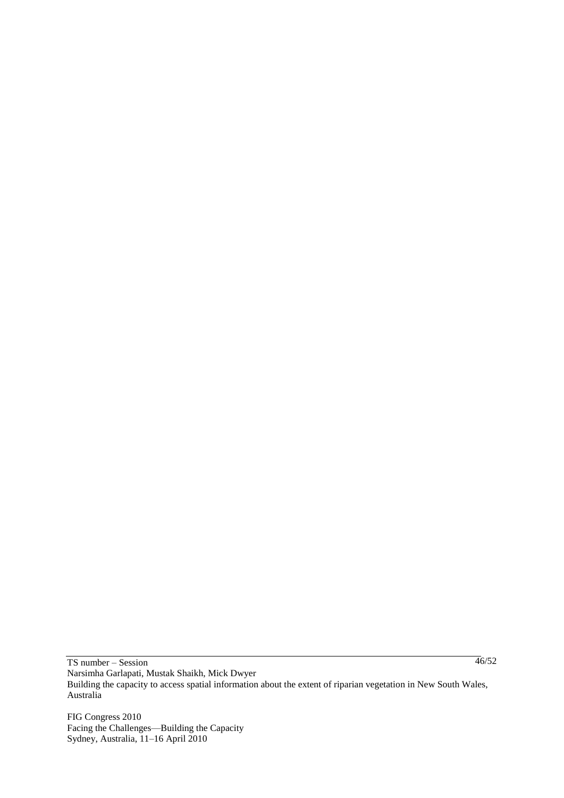TS number - Session Narsimha Garlapati, Mustak Shaikh, Mick Dwyer Building the capacity to access spatial information about the extent of riparian vegetation in New South Wales, Australia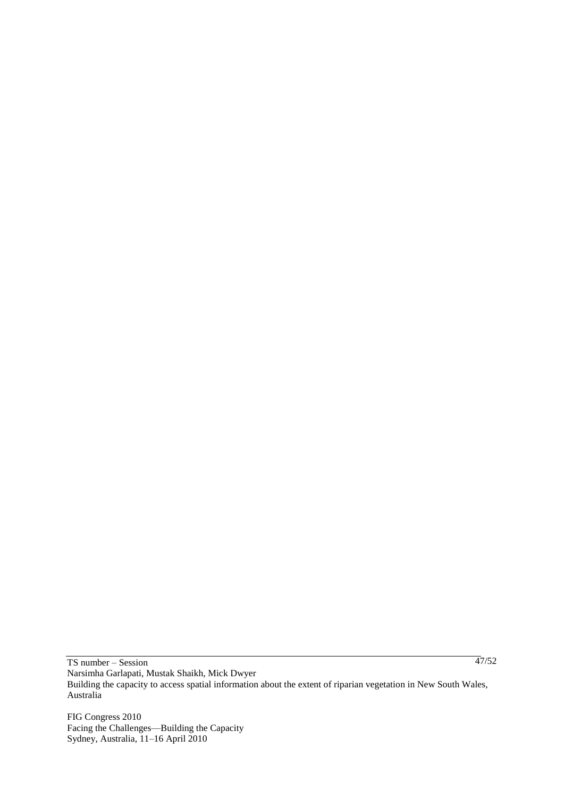TS number – Session Narsimha Garlapati, Mustak Shaikh, Mick Dwyer Building the capacity to access spatial information about the extent of riparian vegetation in New South Wales, Australia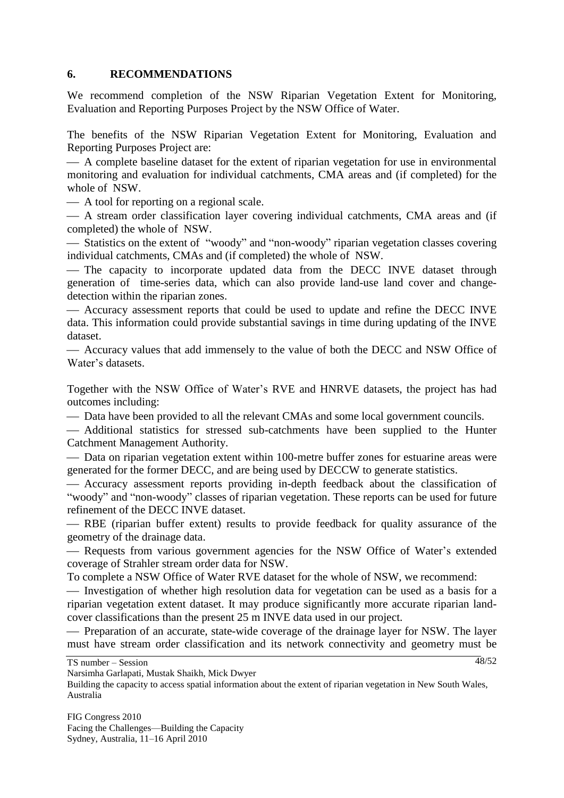## **6. RECOMMENDATIONS**

We recommend completion of the NSW Riparian Vegetation Extent for Monitoring, Evaluation and Reporting Purposes Project by the NSW Office of Water.

The benefits of the NSW Riparian Vegetation Extent for Monitoring, Evaluation and Reporting Purposes Project are:

 A complete baseline dataset for the extent of riparian vegetation for use in environmental monitoring and evaluation for individual catchments, CMA areas and (if completed) for the whole of NSW.

A tool for reporting on a regional scale.

 A stream order classification layer covering individual catchments, CMA areas and (if completed) the whole of NSW.

— Statistics on the extent of "woody" and "non-woody" riparian vegetation classes covering individual catchments, CMAs and (if completed) the whole of NSW.

— The capacity to incorporate updated data from the DECC INVE dataset through generation of time-series data, which can also provide land-use land cover and changedetection within the riparian zones.

 Accuracy assessment reports that could be used to update and refine the DECC INVE data. This information could provide substantial savings in time during updating of the INVE dataset.

 Accuracy values that add immensely to the value of both the DECC and NSW Office of Water's datasets.

Together with the NSW Office of Water's RVE and HNRVE datasets, the project has had outcomes including:

Data have been provided to all the relevant CMAs and some local government councils.

 Additional statistics for stressed sub-catchments have been supplied to the Hunter Catchment Management Authority.

 Data on riparian vegetation extent within 100-metre buffer zones for estuarine areas were generated for the former DECC, and are being used by DECCW to generate statistics.

 Accuracy assessment reports providing in-depth feedback about the classification of "woody" and "non-woody" classes of riparian vegetation. These reports can be used for future refinement of the DECC INVE dataset.

 RBE (riparian buffer extent) results to provide feedback for quality assurance of the geometry of the drainage data.

 Requests from various government agencies for the NSW Office of Water's extended coverage of Strahler stream order data for NSW.

To complete a NSW Office of Water RVE dataset for the whole of NSW, we recommend:

 Investigation of whether high resolution data for vegetation can be used as a basis for a riparian vegetation extent dataset. It may produce significantly more accurate riparian landcover classifications than the present 25 m INVE data used in our project.

 Preparation of an accurate, state-wide coverage of the drainage layer for NSW. The layer must have stream order classification and its network connectivity and geometry must be

TS number – Session

Narsimha Garlapati, Mustak Shaikh, Mick Dwyer

Building the capacity to access spatial information about the extent of riparian vegetation in New South Wales, Australia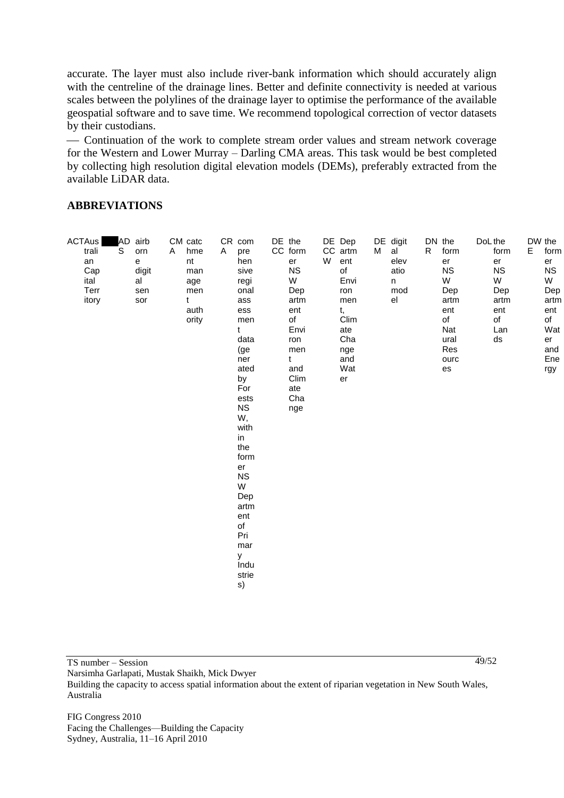accurate. The layer must also include river-bank information which should accurately align with the centreline of the drainage lines. Better and definite connectivity is needed at various scales between the polylines of the drainage layer to optimise the performance of the available geospatial software and to save time. We recommend topological correction of vector datasets by their custodians.

— Continuation of the work to complete stream order values and stream network coverage for the Western and Lower Murray - Darling CMA areas. This task would be best completed by collecting high resolution digital elevation models (DEMs), preferably extracted from the available LiDAR data.

### **ABBREVIATIONS**

| <b>ACTAus</b><br>trali<br>an<br>Cap<br>ital<br>Terr<br>itory | S | AD airb<br>orn<br>e<br>digit<br>al<br>sen<br>sor | A | CM catc<br>hme<br>nt<br>man<br>age<br>men<br>t<br>auth<br>ority | A | CR com<br>pre<br>hen<br>sive<br>regi<br>onal<br>ass<br>ess<br>men<br>t<br>data<br>(ge<br>ner<br>ated<br>by<br>For<br>ests<br><b>NS</b><br>W,<br>with<br>in<br>the<br>form<br>er<br><b>NS</b><br>W<br>Dep<br>artm<br>ent<br>of<br>Pri<br>mar<br>y -<br>Indu<br>strie<br>s) |  | DE the<br>CC form<br>er<br><b>NS</b><br>W<br>Dep<br>artm<br>ent<br>of<br>Envi<br>ron<br>men<br>t<br>and<br>Clim<br>ate<br>Cha<br>nge | W | DE Dep<br>CC artm<br>ent<br>of<br>Envi<br>ron<br>men<br>t,<br>Clim<br>ate<br>Cha<br>nge<br>and<br>Wat<br>er | M | DE digit<br>al<br>elev<br>atio<br>n<br>mod<br>el | R | DN the<br>form<br>er<br>NS<br>W<br>Dep<br>artm<br>ent<br>of<br>Nat<br>ural<br>Res<br>ourc<br>es |  | DoL the<br>form<br>er<br><b>NS</b><br>W<br>Dep<br>artm<br>ent<br>of<br>Lan<br>ds | E. | DW the<br>form<br>er<br><b>NS</b><br>W<br>Dep<br>artm<br>ent<br>of<br>Wat<br>er<br>and<br>Ene<br>rgy |
|--------------------------------------------------------------|---|--------------------------------------------------|---|-----------------------------------------------------------------|---|---------------------------------------------------------------------------------------------------------------------------------------------------------------------------------------------------------------------------------------------------------------------------|--|--------------------------------------------------------------------------------------------------------------------------------------|---|-------------------------------------------------------------------------------------------------------------|---|--------------------------------------------------|---|-------------------------------------------------------------------------------------------------|--|----------------------------------------------------------------------------------|----|------------------------------------------------------------------------------------------------------|
|--------------------------------------------------------------|---|--------------------------------------------------|---|-----------------------------------------------------------------|---|---------------------------------------------------------------------------------------------------------------------------------------------------------------------------------------------------------------------------------------------------------------------------|--|--------------------------------------------------------------------------------------------------------------------------------------|---|-------------------------------------------------------------------------------------------------------------|---|--------------------------------------------------|---|-------------------------------------------------------------------------------------------------|--|----------------------------------------------------------------------------------|----|------------------------------------------------------------------------------------------------------|

| TS number – Session                                                                                             | 49/ |
|-----------------------------------------------------------------------------------------------------------------|-----|
| Narsimha Garlapati, Mustak Shaikh, Mick Dwyer                                                                   |     |
| Building the capacity to access spatial information about the extent of riparian vegetation in New South Wales, |     |
| Australia                                                                                                       |     |
|                                                                                                                 |     |
| $EIC$ Congress 2010                                                                                             |     |

FIG Congress 2010 Facing the Challenges—Building the Capacity Sydney, Australia, 11-16 April 2010

 $152$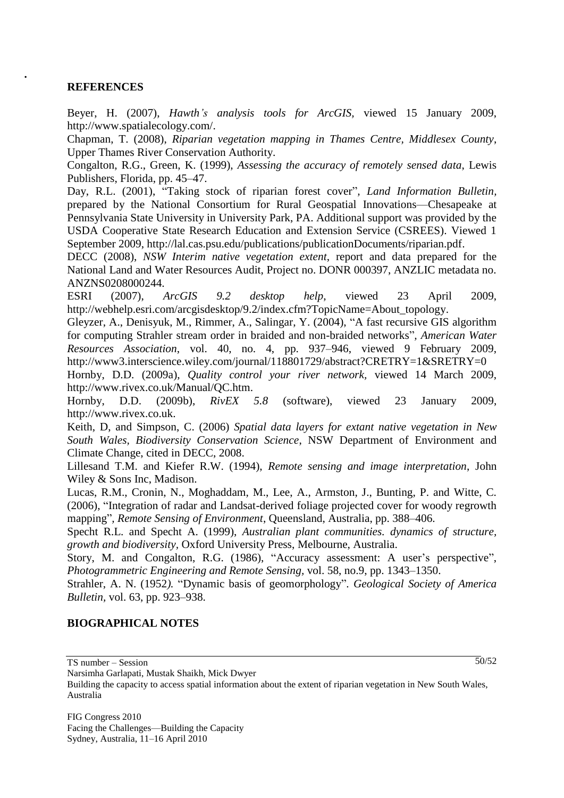## **REFERENCES**

**.**

Beyer, H. (2007), *Hawth's analysis tools for ArcGIS,* viewed 15 January 2009, http://www.spatialecology.com/.

Chapman, T. (2008), *Riparian vegetation mapping in Thames Centre, Middlesex County*, Upper Thames River Conservation Authority.

Congalton, R.G., Green, K. (1999), *Assessing the accuracy of remotely sensed data*, Lewis Publishers, Florida, pp. 45–47.

Day, R.L. (2001), "Taking stock of riparian forest cover", Land Information Bulletin, prepared by the National Consortium for Rural Geospatial Innovations—Chesapeake at Pennsylvania State University in University Park, PA. Additional support was provided by the USDA Cooperative State Research Education and Extension Service (CSREES). Viewed 1 September 2009, http://lal.cas.psu.edu/publications/publicationDocuments/riparian.pdf.

DECC (2008), *NSW Interim native vegetation extent*, report and data prepared for the National Land and Water Resources Audit, Project no. DONR 000397, ANZLIC metadata no. ANZNS0208000244.

ESRI (2007), *ArcGIS 9.2 desktop help*, viewed 23 April 2009, http://webhelp.esri.com/arcgisdesktop/9.2/index.cfm?TopicName=About\_topology.

Gleyzer, A., Denisyuk, M., Rimmer, A., Salingar, Y. (2004), "A fast recursive GIS algorithm for computing Strahler stream order in braided and non-braided networks", American Water *Resources Association*, vol. 40, no. 4, pp. 937–946, viewed 9 February 2009, http://www3.interscience.wiley.com/journal/118801729/abstract?CRETRY=1&SRETRY=0

Hornby, D.D. (2009a), *Quality control your river network,* viewed 14 March 2009, http://www.rivex.co.uk/Manual/QC.htm.

Hornby, D.D. (2009b), *RivEX 5.8* (software), viewed 23 January 2009, http://www.rivex.co.uk.

Keith, D, and Simpson, C. (2006) *Spatial data layers for extant native vegetation in New South Wales, Biodiversity Conservation Science*, NSW Department of Environment and Climate Change, cited in DECC, 2008.

Lillesand T.M. and Kiefer R.W. (1994), *Remote sensing and image interpretation*, John Wiley & Sons Inc, Madison.

Lucas, R.M., Cronin, N., Moghaddam, M., Lee, A., Armston, J., Bunting, P. and Witte, C. (2006), "Integration of radar and Landsat-derived foliage projected cover for woody regrowth mapping<sup>2</sup>, *Remote Sensing of Environment*, Queensland, Australia, pp. 388–406.

Specht R.L. and Specht A. (1999), *Australian plant communities. dynamics of structure, growth and biodiversity,* Oxford University Press, Melbourne, Australia.

Story, M. and Congalton, R.G. (1986), "Accuracy assessment: A user's perspective", *Photogrammetric Engineering and Remote Sensing,* vol. 58, no.9, pp. 1343–1350.

Strahler, A. N. (1952). "Dynamic basis of geomorphology". Geological Society of America *Bulletin,* vol. 63, pp. 923–938.

### **BIOGRAPHICAL NOTES**

TS number – Session

Narsimha Garlapati, Mustak Shaikh, Mick Dwyer

Building the capacity to access spatial information about the extent of riparian vegetation in New South Wales, Australia

 $\frac{1}{50}$ /52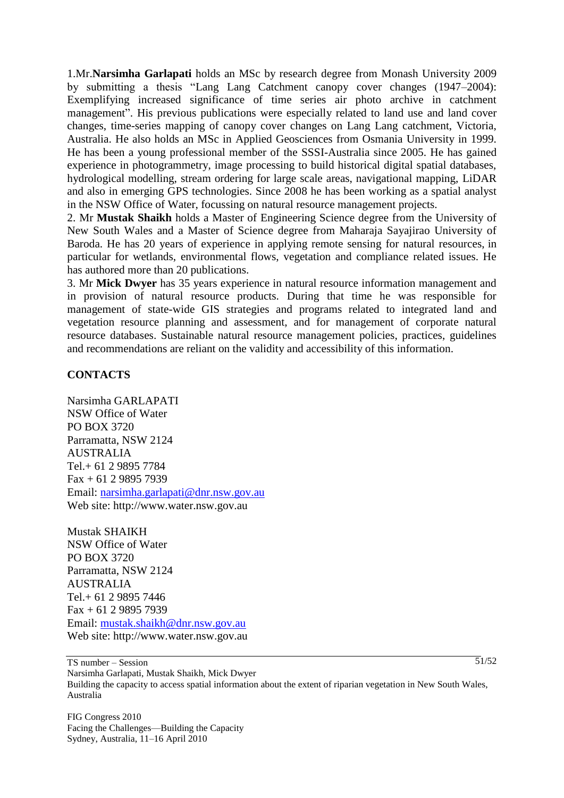1.Mr.**Narsimha Garlapati** holds an MSc by research degree from Monash University 2009 by submitting a thesis "Lang Lang Catchment canopy cover changes (1947–2004): Exemplifying increased significance of time series air photo archive in catchment management". His previous publications were especially related to land use and land cover changes, time-series mapping of canopy cover changes on Lang Lang catchment, Victoria, Australia. He also holds an MSc in Applied Geosciences from Osmania University in 1999. He has been a young professional member of the SSSI-Australia since 2005. He has gained experience in photogrammetry, image processing to build historical digital spatial databases, hydrological modelling, stream ordering for large scale areas, navigational mapping, LiDAR and also in emerging GPS technologies. Since 2008 he has been working as a spatial analyst in the NSW Office of Water, focussing on natural resource management projects.

2. Mr **Mustak Shaikh** holds a Master of Engineering Science degree from the University of New South Wales and a Master of Science degree from Maharaja Sayajirao University of Baroda. He has 20 years of experience in applying remote sensing for natural resources, in particular for wetlands, environmental flows, vegetation and compliance related issues. He has authored more than 20 publications.

3. Mr **Mick Dwyer** has 35 years experience in natural resource information management and in provision of natural resource products. During that time he was responsible for management of state-wide GIS strategies and programs related to integrated land and vegetation resource planning and assessment, and for management of corporate natural resource databases. Sustainable natural resource management policies, practices, guidelines and recommendations are reliant on the validity and accessibility of this information.

## **CONTACTS**

Narsimha GARLAPATI NSW Office of Water PO BOX 3720 Parramatta, NSW 2124 **AUSTRALIA**  $Tel + 61 2 9895 7784$ Fax + 61 2 9895 7939 Email: [narsimha.garlapati@dnr.nsw.gov.au](mailto:narsimha.garlapati@dnr.nsw.gov.au) Web site: http://www.water.nsw.gov.au

Mustak SHAIKH NSW Office of Water PO BOX 3720 Parramatta, NSW 2124 AUSTRALIA Tel.+ 61 2 9895 7446 Fax + 61 2 9895 7939 Email: [mustak.shaikh@dnr.nsw.gov.au](mailto:mustak.shaikh@dnr.nsw.gov.au) Web site: http://www.water.nsw.gov.au

TS number – Session Narsimha Garlapati, Mustak Shaikh, Mick Dwyer Building the capacity to access spatial information about the extent of riparian vegetation in New South Wales, Australia

FIG Congress 2010 Facing the Challenges—Building the Capacity Sydney, Australia, 11–16 April 2010

51/52